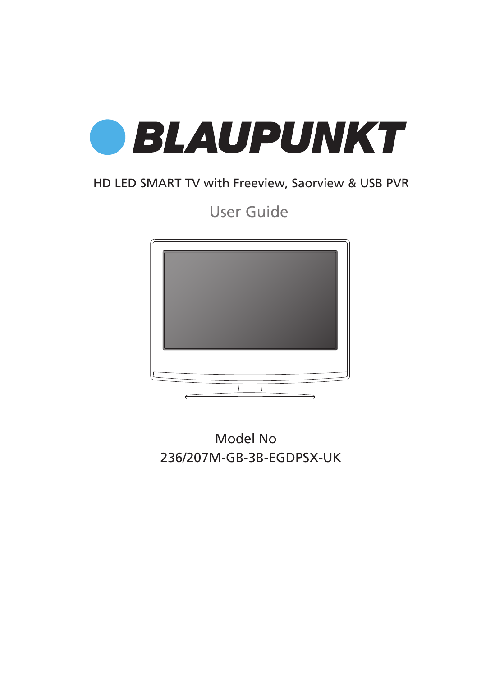

## HD LED SMART TV with Freeview, Saorview & USB PVR

User Guide



Model No 236/207M-GB-3B-EGDPSX-UK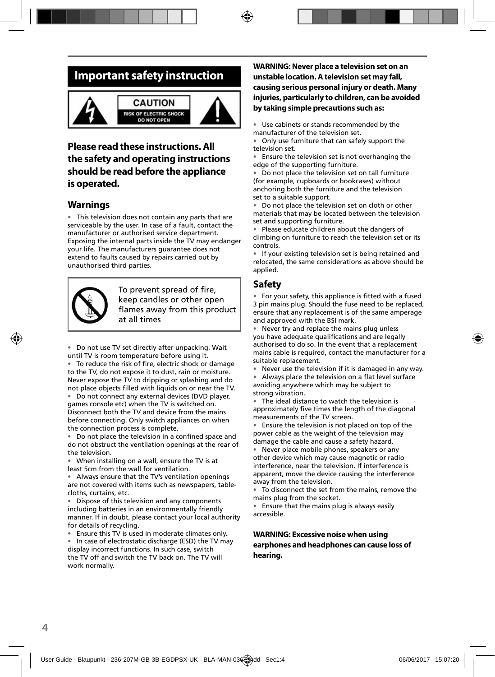## **Important safety instruction**



#### **CAUTION ISK OF ELECTRIC SHOCK DO NOT OPEN**



### **Please read these instructions. All the safety and operating instructions should be read before the appliance is operated.**

### **Warnings**

• This television does not contain any parts that are serviceable by the user. In case of a fault, contact the manufacturer or authorised service department. Exposing the internal parts inside the TV may endanger your life. The manufacturers guarantee does not extend to faults caused by repairs carried out by unauthorised third parties.



To prevent spread of fire. keep candles or other open flames away from this product at all times

• Do not use TV set directly after unpacking. Wait until TV is room temperature before using it. • To reduce the risk of fire, electric shock or damage to the TV, do not expose it to dust, rain or moisture.

Never expose the TV to dripping or splashing and do not place objects filled with liquids on or near the TV. • Do not connect any external devices (DVD player, games console etc) when the TV is switched on. Disconnect both the TV and device from the mains before connecting. Only switch appliances on when the connection process is complete.

Do not place the television in a confined space and do not obstruct the ventilation openings at the rear of the television.

• When installing on a wall, ensure the TV is at least 5cm from the wall for ventilation.

• Always ensure that the TV's ventilation openings are not covered with items such as newspapers, tablecloths, curtains, etc.

Dispose of this television and any components including batteries in an environmentally friendly manner. If in doubt, please contact your local authority for details of recycling.

• Ensure this TV is used in moderate climates only.

• In case of electrostatic discharge (ESD) the TV may display incorrect functions. In such case, switch the TV off and switch the TV back on. The TV will work normally.

### **WARNING: Never place a television set on an unstable location. A television set may fall, causing serious personal injury or death. Many injuries, particularly to children, can be avoided by taking simple precautions such as:**

Use cabinets or stands recommended by the manufacturer of the television set.

• Only use furniture that can safely support the television set.

• Ensure the television set is not overhanging the edge of the supporting furniture.

Do not place the television set on tall furniture (for example, cupboards or bookcases) without anchoring both the furniture and the television set to a suitable support.

• Do not place the television set on cloth or other materials that may be located between the television set and supporting furniture.

• Please educate children about the dangers of climbing on furniture to reach the television set or its controls.

• If your existing television set is being retained and relocated, the same considerations as above should be applied.

### **Safety**

• For your safety, this appliance is fitted with a fused 3 pin mains plug. Should the fuse need to be replaced, ensure that any replacement is of the same amperage and approved with the BSI mark.

• Never try and replace the mains plug unless you have adequate qualifications and are legally authorised to do so. In the event that a replacement mains cable is required, contact the manufacturer for a suitable replacement.

Never use the television if it is damaged in any way.

• Always place the television on a flat level surface avoiding anywhere which may be subject to strong vibration.

• The ideal distance to watch the television is approximately five times the length of the diagonal measurements of the TV screen.

• Ensure the television is not placed on top of the power cable as the weight of the television may damage the cable and cause a safety hazard.

• Never place mobile phones, speakers or any other device which may cause magnetic or radio interference, near the television. If interference is apparent, move the device causing the interference away from the television.

To disconnect the set from the mains, remove the mains plug from the socket.

• Ensure that the mains plug is always easily accessible.

### **WARNING: Excessive noise when using earphones and headphones can cause loss of hearing.**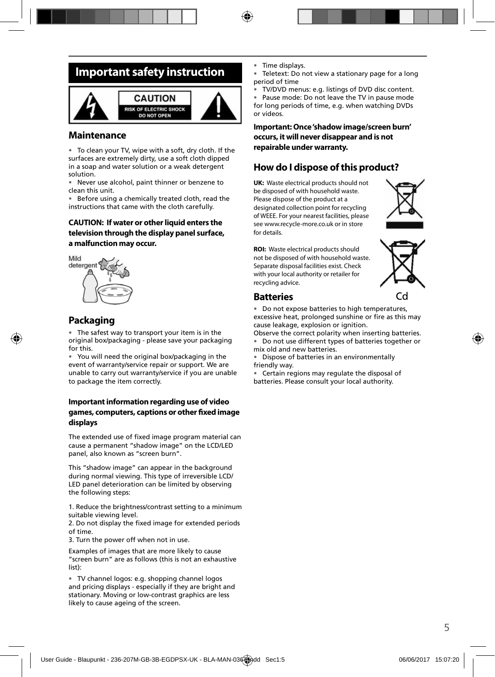## **Important safety instruction**



### **Maintenance**

• To clean your TV, wipe with a soft, dry cloth. If the surfaces are extremely dirty, use a soft cloth dipped in a soap and water solution or a weak detergent solution.

Never use alcohol, paint thinner or benzene to clean this unit.

• Before using a chemically treated cloth, read the instructions that came with the cloth carefully.

### **CAUTION: If water or other liquid enters the television through the display panel surface, a malfunction may occur.**



### **Packaging**

The safest way to transport your item is in the original box/packaging - please save your packaging for this.

• You will need the original box/packaging in the event of warranty/service repair or support. We are unable to carry out warranty/service if you are unable to package the item correctly.

### **Important information regarding use of video games, computers, captions or other fi xed image displays**

The extended use of fixed image program material can cause a permanent "shadow image" on the LCD/LED panel, also known as "screen burn".

This "shadow image" can appear in the background during normal viewing. This type of irreversible LCD/ LED panel deterioration can be limited by observing the following steps:

1. Reduce the brightness/contrast setting to a minimum suitable viewing level.

2. Do not display the fixed image for extended periods of time.

3. Turn the power off when not in use.

Examples of images that are more likely to cause "screen burn" are as follows (this is not an exhaustive list):

• TV channel logos: e.g. shopping channel logos and pricing displays - especially if they are bright and stationary. Moving or low-contrast graphics are less likely to cause ageing of the screen.

Time displays.

Teletext: Do not view a stationary page for a long period of time

• TV/DVD menus: e.g. listings of DVD disc content.

• Pause mode: Do not leave the TV in pause mode for long periods of time, e.g. when watching DVDs or videos.

**Important: Once 'shadow image/screen burn' occurs, it will never disappear and is not repairable under warranty.**

### **How do I dispose of this product?**

**UK:** Waste electrical products should not be disposed of with household waste. Please dispose of the product at a designated collection point for recycling of WEEE. For your nearest facilities, please see www.recycle-more.co.uk or in store for details.



**ROI:** Waste electrical products should not be disposed of with household waste. Separate disposal facilities exist. Check with your local authority or retailer for recycling advice.



### **Batteries**

• Do not expose batteries to high temperatures, excessive heat, prolonged sunshine or fire as this may cause leakage, explosion or ignition.

Observe the correct polarity when inserting batteries. • Do not use different types of batteries together or mix old and new batteries.

• Dispose of batteries in an environmentally friendly way.

• Certain regions may regulate the disposal of batteries. Please consult your local authority.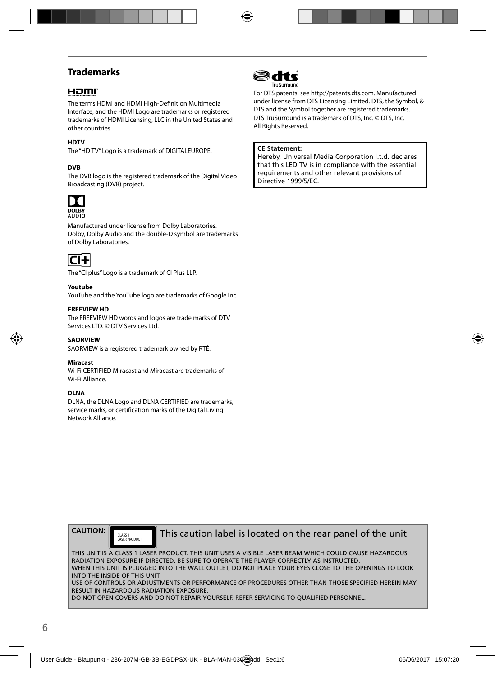## **Trademarks**

### HOMI

The terms HDMI and HDMI High-Definition Multimedia Interface, and the HDMI Logo are trademarks or registered trademarks of HDMI Licensing, LLC in the United States and other countries.

#### **HDTV**

The "HD TV" Logo is a trademark of DIGITALEUROPE.

#### **DVB**

The DVB logo is the registered trademark of the Digital Video Broadcasting (DVB) project.



Manufactured under license from Dolby Laboratories. Dolby, Dolby Audio and the double-D symbol are trademarks of Dolby Laboratories.



The "CI plus" Logo is a trademark of CI Plus LLP.

#### **Youtube**

YouTube and the YouTube logo are trademarks of Google Inc.

#### **FREEVIEW HD**

The FREEVIEW HD words and logos are trade marks of DTV Services LTD. © DTV Services Ltd.

#### **SAORVIEW**

SAORVIEW is a registered trademark owned by RTÉ.

#### **Miracast**

Wi-Fi CERTIFIED Miracast and Miracast are trademarks of Wi-Fi Alliance.

#### **DLNA**

DLNA, the DLNA Logo and DLNA CERTIFIED are trademarks, service marks, or certification marks of the Digital Living Network Alliance.



For DTS patents, see http://patents.dts.com. Manufactured under license from DTS Licensing Limited. DTS, the Symbol, & DTS and the Symbol together are registered trademarks. DTS TruSurround is a trademark of DTS, Inc. © DTS, Inc. All Rights Reserved.

#### **CE Statement:**

Hereby, Universal Media Corporation l.t.d. declares that this LED TV is in compliance with the essential requirements and other relevant provisions of Directive 1999/5/EC.



CLASS 1<br>LASER PRODUCT

This caution label is located on the rear panel of the unit

THIS UNIT IS A CLASS 1 LASER PRODUCT. THIS UNIT USES A VISIBLE LASER BEAM WHICH COULD CAUSE HAZARDOUS RADIATION EXPOSURE IF DIRECTED. BE SURE TO OPERATE THE PLAYER CORRECTLY AS INSTRUCTED. WHEN THIS UNIT IS PLUGGED INTO THE WALL OUTLET, DO NOT PLACE YOUR EYES CLOSE TO THE OPENINGS TO LOOK INTO THE INSIDE OF THIS UNIT. USE OF CONTROLS OR ADJUSTMENTS OR PERFORMANCE OF PROCEDURES OTHER THAN THOSE SPECIFIED HEREIN MAY RESULT IN HAZARDOUS RADIATION EXPOSURE.

DO NOT OPEN COVERS AND DO NOT REPAIR YOURSELF. REFER SERVICING TO QUALIFIED PERSONNEL.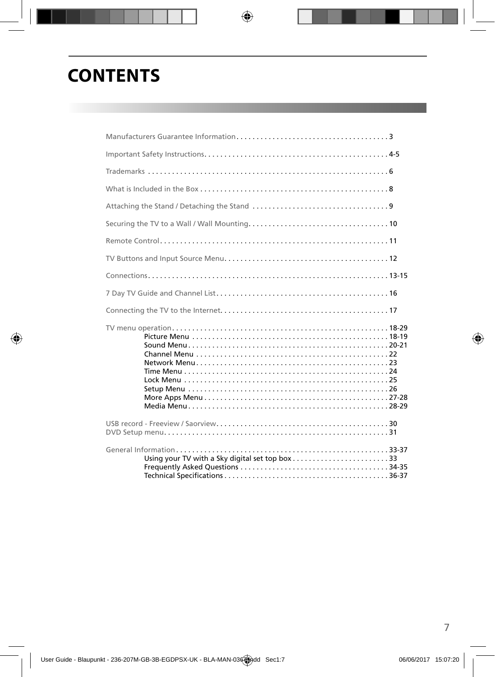# **CONTENTS**

| Using your TV with a Sky digital set top box33 |  |
|------------------------------------------------|--|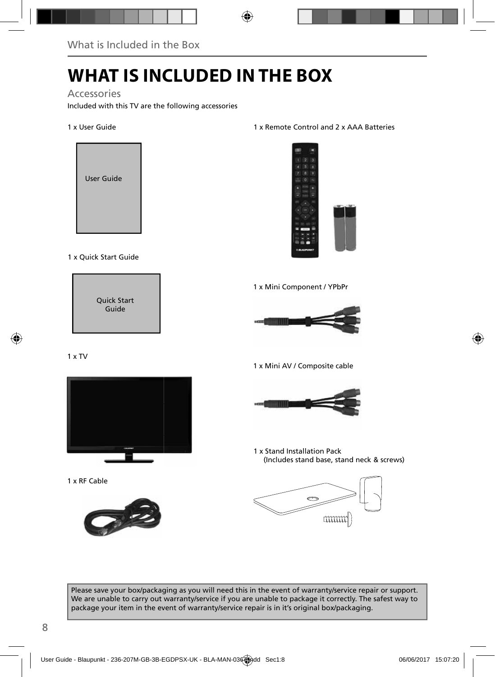# **WHAT IS INCLUDED IN THE BOX**

### Accessories

Included with this TV are the following accessories

#### 1 x User Guide



### 1 x Quick Start Guide



### 1 x TV



1 x RF Cable



### 1 x Remote Control and 2 x AAA Batteries



1 x Mini Component / YPbPr



1 x Mini AV / Composite cable



1 x Stand Installation Pack (Includes stand base, stand neck & screws)



Please save your box/packaging as you will need this in the event of warranty/service repair or support. We are unable to carry out warranty/service if you are unable to package it correctly. The safest way to package your item in the event of warranty/service repair is in it's original box/packaging.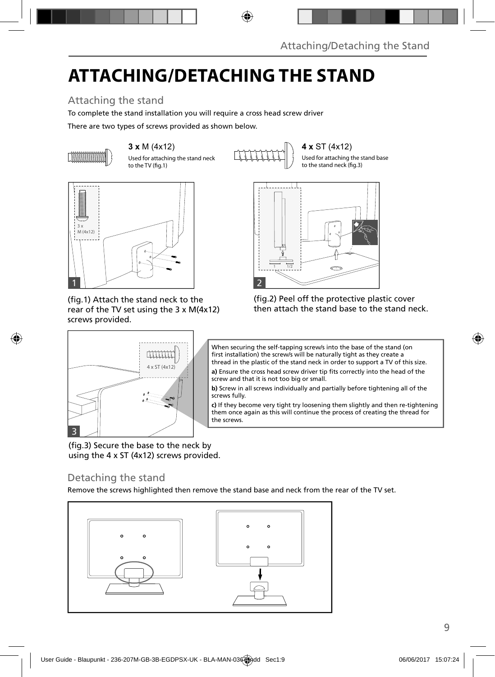# **ATTACHING/DETACHING THE STAND**

## Attaching the stand

To complete the stand installation you will require a cross head screw driver

There are two types of screws provided as shown below.



Used for attaching the stand neck to the TV (fig.1)

**3 x** M (4x12)  $\begin{bmatrix} 3 & 4 & 8 \end{bmatrix}$  (4x12)

Used for attaching the stand base to the stand neck (fig.3)



(fig.1) Attach the stand neck to the rear of the TV set using the 3 x M(4x12) screws provided.

4 x ST (4x12)



(fig.2) Peel off the protective plastic cover then attach the stand base to the stand neck.



**a)** Ensure the cross head screw driver tip fits correctly into the head of the screw and that it is not too big or small.

**b)** Screw in all screws individually and partially before tightening all of the screws fully.

**c)** If they become very tight try loosening them slightly and then re-tightening them once again as this will continue the process of creating the thread for the screws

(fig.3) Secure the base to the neck by using the 4 x ST (4x12) screws provided.

### Detaching the stand

3

Remove the screws highlighted then remove the stand base and neck from the rear of the TV set.

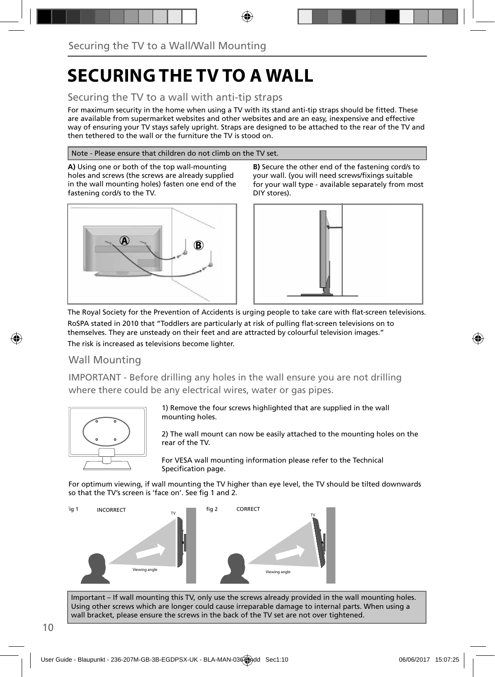# **SECURING THE TV TO A WALL**

### Securing the TV to a wall with anti-tip straps

For maximum security in the home when using a TV with its stand anti-tip straps should be fitted. These are available from supermarket websites and other websites and are an easy, inexpensive and effective way of ensuring your TV stays safely upright. Straps are designed to be attached to the rear of the TV and then tethered to the wall or the furniture the TV is stood on.

#### Note - Please ensure that children do not climb on the TV set.

**A)** Using one or both of the top wall-mounting holes and screws (the screws are already supplied in the wall mounting holes) fasten one end of the fastening cord/s to the TV.



**B)** Secure the other end of the fastening cord/s to your wall. (you will need screws/fixings suitable for your wall type - available separately from most DIY stores).



The Royal Society for the Prevention of Accidents is urging people to take care with flat-screen televisions. RoSPA stated in 2010 that "Toddlers are particularly at risk of pulling flat-screen televisions on to

themselves. They are unsteady on their feet and are attracted by colourful television images." The risk is increased as televisions become lighter.

### Wall Mounting

IMPORTANT - Before drilling any holes in the wall ensure you are not drilling where there could be any electrical wires, water or gas pipes.



1) Remove the four screws highlighted that are supplied in the wall mounting holes.

2) The wall mount can now be easily attached to the mounting holes on the rear of the TV.

For VESA wall mounting information please refer to the Technical Specification page.

For optimum viewing, if wall mounting the TV higher than eye level, the TV should be tilted downwards so that the TV's screen is 'face on'. See fig 1 and 2.



Important – If wall mounting this TV, only use the screws already provided in the wall mounting holes. Using other screws which are longer could cause irreparable damage to internal parts. When using a wall bracket, please ensure the screws in the back of the TV set are not over tightened.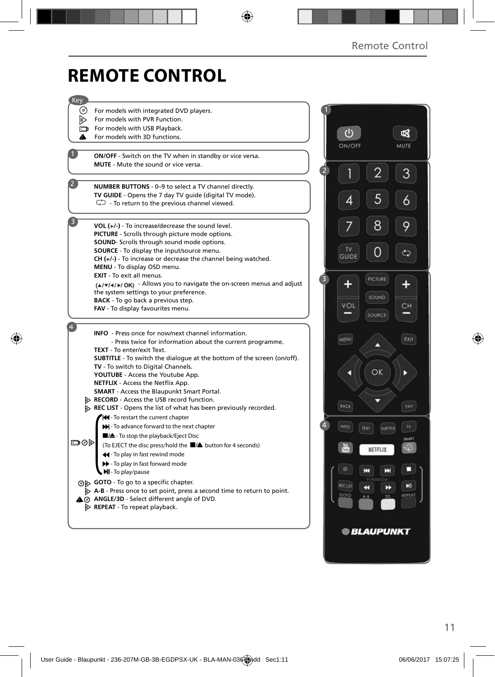# **REMOTE CONTROL**

| Key |                                                                                                           |                |               |                         |        |
|-----|-----------------------------------------------------------------------------------------------------------|----------------|---------------|-------------------------|--------|
| (റ) | For models with integrated DVD players.                                                                   |                |               |                         |        |
| ▷   | For models with PVR Function.                                                                             |                |               |                         |        |
| D   | For models with USB Playback.                                                                             |                |               |                         |        |
| A   | For models with 3D functions.                                                                             |                | $\mathcal{C}$ |                         |        |
|     |                                                                                                           |                | ON/OFF        |                         | MUTE   |
|     | ON/OFF - Switch on the TV when in standby or vice versa.                                                  |                |               |                         |        |
|     | <b>MUTE</b> - Mute the sound or vice versa.                                                               |                |               |                         |        |
|     |                                                                                                           | $\overline{2}$ |               |                         | 3      |
|     | NUMBER BUTTONS - 0-9 to select a TV channel directly.                                                     |                |               |                         |        |
|     | TV GUIDE - Opens the 7 day TV guide (digital TV mode).                                                    |                |               |                         |        |
|     | $\mathbb{C}$ - To return to the previous channel viewed.                                                  |                | 4             | 5                       | 6      |
|     |                                                                                                           |                |               |                         |        |
|     | VOL (+/-) - To increase/decrease the sound level.                                                         |                |               | 8                       | 9      |
|     | <b>PICTURE</b> - Scrolls through picture mode options.                                                    |                |               |                         |        |
|     | SOUND- Scrolls through sound mode options.                                                                |                |               |                         |        |
|     | <b>SOURCE</b> - To display the input/source menu.                                                         |                | <b>TV</b>     |                         | ආ      |
|     | $CH (+/-)$ - To increase or decrease the channel being watched.                                           |                | <b>GUIDE</b>  |                         |        |
|     | MENU - To display OSD menu.                                                                               |                |               |                         |        |
|     | <b>EXIT</b> - To exit all menus.<br>(A/v/4/b/ OK) - Allows you to navigate the on-screen menus and adjust | 3              | ¢             | <b>PICTURE</b>          |        |
|     | the system settings to your preference.                                                                   |                |               |                         |        |
|     | <b>BACK</b> - To go back a previous step.                                                                 |                |               | SOUND                   |        |
|     | FAV - To display favourites menu.                                                                         |                | VOL           |                         | CН     |
|     |                                                                                                           |                |               | SOURCE                  |        |
|     | <b>INFO</b> - Press once for now/next channel information.                                                |                |               |                         |        |
|     | - Press twice for information about the current programme.                                                |                | <b>MENU</b>   |                         | EXIT   |
|     | TEXT - To enter/exit Text.                                                                                |                |               | ↗                       |        |
|     | <b>SUBTITLE</b> - To switch the dialogue at the bottom of the screen (on/off).                            |                |               |                         |        |
|     | TV - To switch to Digital Channels.                                                                       |                |               |                         |        |
|     | YOUTUBE - Access the Youtube App.                                                                         |                |               | OK                      | Þ      |
|     | NETFLIX - Access the Netflix App.                                                                         |                |               |                         |        |
|     | <b>SMART</b> - Access the Blaupunkt Smart Portal.<br>RECORD - Access the USB record function.             |                |               |                         |        |
|     | REC LIST - Opens the list of what has been previously recorded.                                           |                | BACK          |                         | FAV    |
|     | <b>44</b> - To restart the current chapter                                                                |                |               |                         |        |
|     | M-To advance forward to the next chapter                                                                  | $\overline{4}$ | INFO          | TEXT<br><b>SUBTITLE</b> | TV.    |
|     | ■/▲- To stop the playback/Eject Disc                                                                      |                |               |                         | SMART  |
| య⊜⊏ | (To EJECT the disc press/hold the ■▲ button for 4 seconds)                                                |                |               |                         |        |
|     | 44 - To play in fast rewind mode                                                                          |                |               | NETFLIX                 |        |
|     | > - To play in fast forward mode                                                                          |                |               |                         |        |
|     | MI-To play/pause                                                                                          |                |               | н<br>Е                  |        |
|     | ⊙ GOTO - To go to a specific chapter.                                                                     |                | <b>RECUST</b> |                         | Ы      |
|     | $\triangleright$ A-B - Press once to set point, press a second time to return to point.                   |                | GOTO          | K<br>D<br>A-B<br>3D     | REPEAT |
|     | A @ ANGLE/3D - Select different angle of DVD.                                                             |                |               |                         |        |
|     | $\triangleright$ REPEAT - To repeat playback.                                                             |                |               |                         |        |
|     |                                                                                                           |                |               |                         |        |
|     |                                                                                                           |                |               | <b>BLAUPUNKT</b>        |        |
|     |                                                                                                           |                |               |                         |        |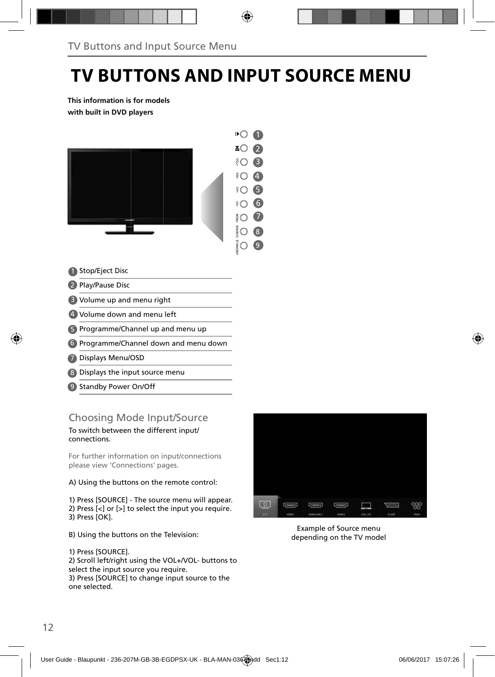# **TV BUTTONS AND INPUT SOURCE MENU**

**This information is for models with built in DVD players**



#### Stop/Eject Disc 1

- 2 Play/Pause Disc
- Volume up and menu right 3
- Volume down and menu left 4
- 5 Programme/Channel up and menu up
- Programme/Channel down and menu down 6
- Displays Menu/OSD 7
- Displays the input source menu 8
- 9 Standby Power On/Off

### Choosing Mode Input/Source

To switch between the different input/ connections.

For further information on input/connections please view 'Connections' pages.

A) Using the buttons on the remote control:

1) Press [SOURCE] - The source menu will appear. 2) Press [<] or [>] to select the input you require. 3) Press [OK].

- B) Using the buttons on the Television:
- 1) Press [SOURCE].

2) Scroll left/right using the VOL+/VOL- buttons to select the input source you require.

3) Press [SOURCE] to change input source to the one selected.



Example of Source menu depending on the TV model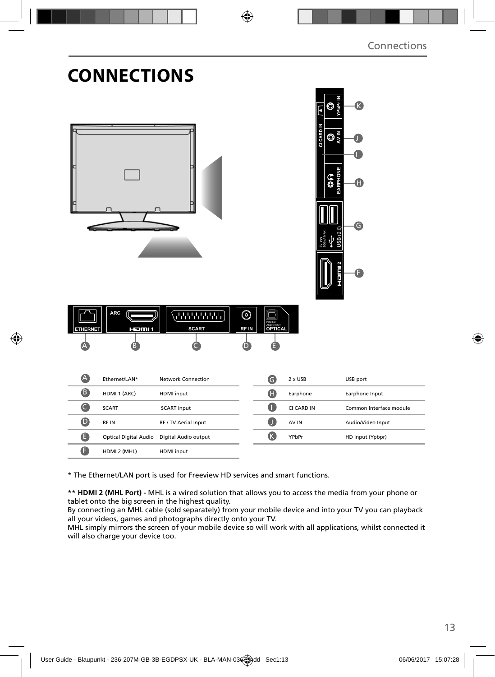|                           | UNNEL I IUNJ          |                           |                  |                                        |            |                                                                                                                 |                         |  |
|---------------------------|-----------------------|---------------------------|------------------|----------------------------------------|------------|-----------------------------------------------------------------------------------------------------------------|-------------------------|--|
|                           | ARC                   | <b>JANANA</b>             | $_{\odot}$       | Ю<br>7                                 |            | hPr<br>O<br>F<br>M<br>CI CARD<br>$\mathbb{O}^{\frac{2}{5}}_{\tilde{\varsigma}}$<br>EARPHONE<br>ြ<br>(2.0)<br>SB | k.<br>O<br>❻<br>A       |  |
| <b>ETHERNET</b><br>Δ<br>A | HOMI 1<br>ß           | <b>SCART</b>              | <b>RFIN</b><br>D | DIGITAL<br>AUDIO OUT<br><b>OPTICAL</b> |            |                                                                                                                 |                         |  |
|                           | Ethernet/LAN*         | <b>Network Connection</b> |                  | $\bullet$                              | 2 x USB    |                                                                                                                 | USB port                |  |
| 8                         | HDMI 1 (ARC)          | HDMI input                |                  | $\bf \Phi$                             | Earphone   |                                                                                                                 | Earphone Input          |  |
| $\bullet$                 | <b>SCART</b>          | <b>SCART input</b>        |                  | O                                      | CI CARD IN |                                                                                                                 | Common Interface module |  |
| $\bullet$                 | RF IN                 | RF / TV Aerial Input      |                  | O                                      | AV IN      |                                                                                                                 | Audio/Video Input       |  |
| $\bullet$                 | Optical Digital Audio | Digital Audio output      |                  | $\mathbf{C}$                           | YPbPr      |                                                                                                                 | HD input (Ypbpr)        |  |
| a                         | HDMI 2 (MHL)          | HDMI input                |                  |                                        |            |                                                                                                                 |                         |  |

\* The Ethernet/LAN port is used for Freeview HD services and smart functions.

**CONNECTIONS** 

\*\* **HDMI 2 (MHL Port) -** MHL is a wired solution that allows you to access the media from your phone or tablet onto the big screen in the highest quality.

By connecting an MHL cable (sold separately) from your mobile device and into your TV you can playback all your videos, games and photographs directly onto your TV.

MHL simply mirrors the screen of your mobile device so will work with all applications, whilst connected it will also charge your device too.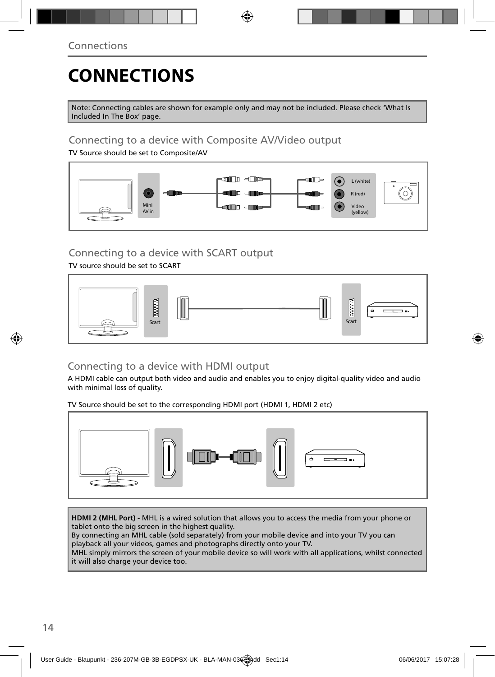# **CONNECTIONS**

Note: Connecting cables are shown for example only and may not be included. Please check 'What Is Included In The Box' page.

## Connecting to a device with Composite AV/Video output

TV Source should be set to Composite/AV



## Connecting to a device with SCART output

TV source should be set to SCART



## Connecting to a device with HDMI output

A HDMI cable can output both video and audio and enables you to enjoy digital-quality video and audio with minimal loss of quality.

TV Source should be set to the corresponding HDMI port (HDMI 1, HDMI 2 etc)



**HDMI 2 (MHL Port) -** MHL is a wired solution that allows you to access the media from your phone or tablet onto the big screen in the highest quality.

By connecting an MHL cable (sold separately) from your mobile device and into your TV you can playback all your videos, games and photographs directly onto your TV.

MHL simply mirrors the screen of your mobile device so will work with all applications, whilst connected it will also charge your device too.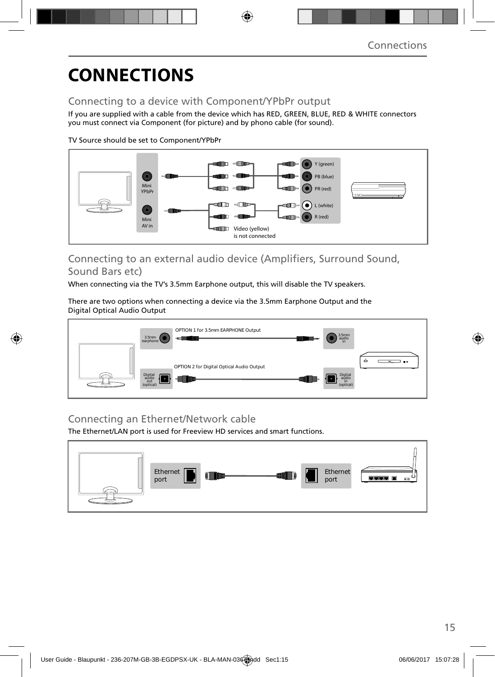# **CONNECTIONS**

## Connecting to a device with Component/YPbPr output

If you are supplied with a cable from the device which has RED, GREEN, BLUE, RED & WHITE connectors you must connect via Component (for picture) and by phono cable (for sound).

TV Source should be set to Component/YPbPr



### Connecting to an external audio device (Amplifiers, Surround Sound, Sound Bars etc)

When connecting via the TV's 3.5mm Earphone output, this will disable the TV speakers.

There are two options when connecting a device via the 3.5mm Earphone Output and the Digital Optical Audio Output



## Connecting an Ethernet/Network cable

The Ethernet/LAN port is used for Freeview HD services and smart functions.

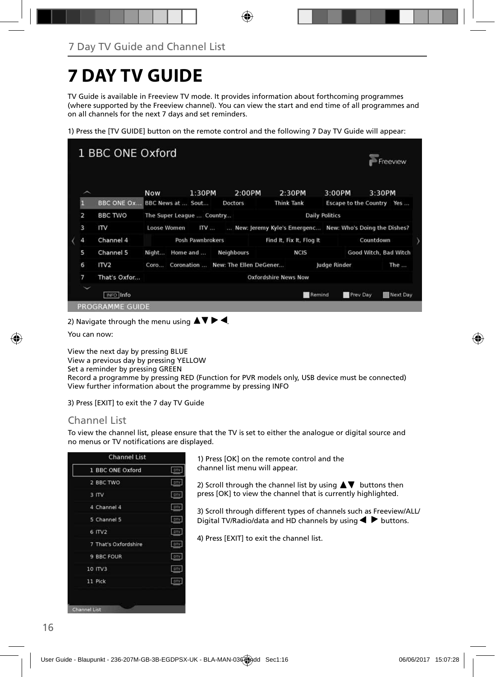# **7 DAY TV GUIDE**

TV Guide is available in Freeview TV mode. It provides information about forthcoming programmes (where supported by the Freeview channel). You can view the start and end time of all programmes and on all channels for the next 7 days and set reminders.

1) Press the [TV GUIDE] button on the remote control and the following 7 Day TV Guide will appear:



2) Navigate through the menu using  $\blacktriangle \blacktriangledown \blacktriangleright \blacktriangleleft$ .

You can now:

View the next day by pressing BLUE View a previous day by pressing YELLOW Set a reminder by pressing GREEN Record a programme by pressing RED (Function for PVR models only, USB device must be connected) View further information about the programme by pressing INFO

3) Press [EXIT] to exit the 7 day TV Guide

### Channel List

To view the channel list, please ensure that the TV is set to either the analogue or digital source and no menus or TV notifications are displayed.

| 1 BBC ONE Oxford     | <b>DIV</b> |
|----------------------|------------|
| 2 BBC TWO            | DTV        |
| $3$ ITV              | ory        |
| 4 Channel 4          | DIV.       |
| 5 Channel 5          | DTV        |
| 6 ITV2               | DIV        |
| 7 That's Oxfordshire | <b>DTV</b> |
| 9 BBC FOUR           | <b>DTV</b> |
| 10 ITV3              | <b>DTV</b> |
| 11 Pick              | DTV        |

1) Press [OK] on the remote control and the channel list menu will appear.

2) Scroll through the channel list by using  $\blacktriangle \blacktriangledown$  buttons then press [OK] to view the channel that is currently highlighted.

3) Scroll through different types of channels such as Freeview/ALL/ Digital TV/Radio/data and HD channels by using  $\blacklozenge \blacktriangleright$  buttons.

4) Press [EXIT] to exit the channel list.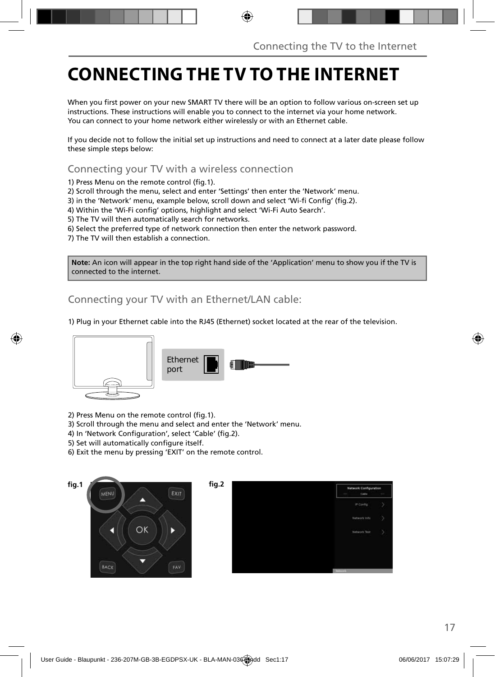# **CONNECTING THE TV TO THE INTERNET**

When you first power on your new SMART TV there will be an option to follow various on-screen set up instructions. These instructions will enable you to connect to the internet via your home network. You can connect to your home network either wirelessly or with an Ethernet cable.

If you decide not to follow the initial set up instructions and need to connect at a later date please follow these simple steps below:

Connecting your TV with a wireless connection

1) Press Menu on the remote control (fig. 1).

2) Scroll through the menu, select and enter 'Settings' then enter the 'Network' menu.

3) in the 'Network' menu, example below, scroll down and select 'Wi-fi Config' (fig.2).

4) Within the 'Wi-Fi config' options, highlight and select 'Wi-Fi Auto Search'.

5) The TV will then automatically search for networks.

6) Select the preferred type of network connection then enter the network password.

7) The TV will then establish a connection.

**Note:** An icon will appear in the top right hand side of the 'Application' menu to show you if the TV is connected to the internet.

Connecting your TV with an Ethernet/LAN cable:

1) Plug in your Ethernet cable into the RJ45 (Ethernet) socket located at the rear of the television.



2) Press Menu on the remote control (fig. 1).

3) Scroll through the menu and select and enter the 'Network' menu.

4) In 'Network Configuration', select 'Cable' (fig.2).

5) Set will automatically configure itself.

6) Exit the menu by pressing 'EXIT' on the remote control.

EXIT





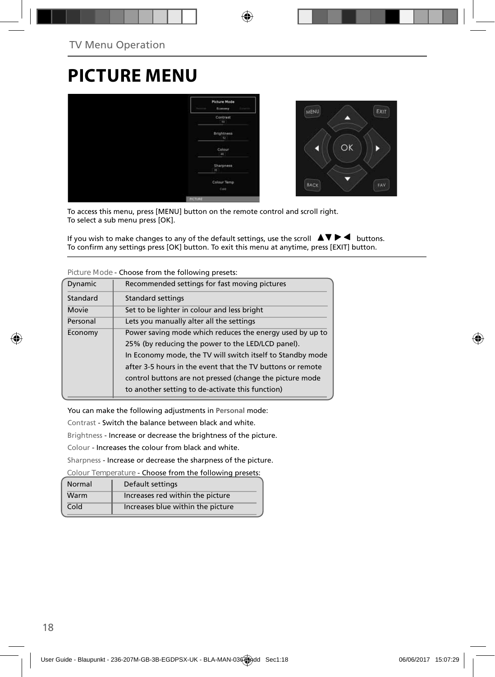## **PICTURE MENU**



To access this menu, press [MENU] button on the remote control and scroll right. To select a sub menu press [OK].

If you wish to make changes to any of the default settings, use the scroll  $\Delta \nabla \blacktriangleright$   $\blacktriangleleft$  buttons. To confirm any settings press [OK] button. To exit this menu at anytime, press [EXIT] button.

| Dynamic  | Recommended settings for fast moving pictures              |
|----------|------------------------------------------------------------|
| Standard | <b>Standard settings</b>                                   |
| Movie    | Set to be lighter in colour and less bright                |
| Personal | Lets you manually alter all the settings                   |
| Economy  | Power saving mode which reduces the energy used by up to   |
|          | 25% (by reducing the power to the LED/LCD panel).          |
|          | In Economy mode, the TV will switch itself to Standby mode |
|          | after 3-5 hours in the event that the TV buttons or remote |
|          | control buttons are not pressed (change the picture mode   |
|          | to another setting to de-activate this function)           |
|          |                                                            |

**Picture Mode** - Choose from the following presets:

You can make the following adjustments in **Personal** mode:

Contrast - Switch the balance between black and white.

Brightness - Increase or decrease the brightness of the picture.

Colour - Increases the colour from black and white.

Sharpness - Increase or decrease the sharpness of the picture.

**Colour Temperature** - Choose from the following presets:

| Normal | Default settings                  |
|--------|-----------------------------------|
| Warm   | Increases red within the picture  |
| Cold   | Increases blue within the picture |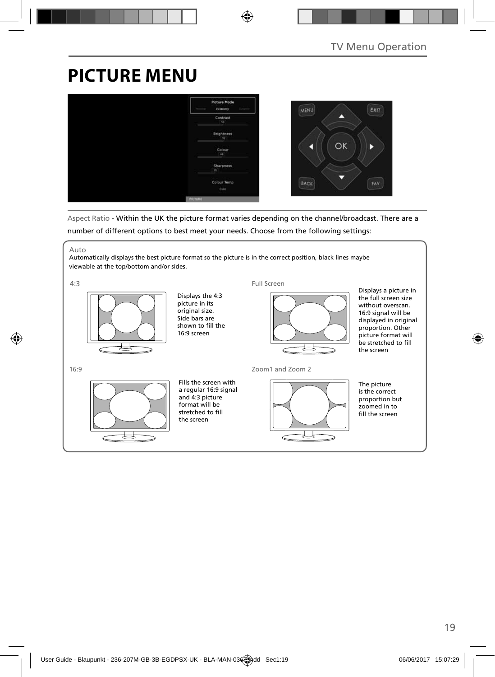# **PICTURE MENU**



Aspect Ratio - Within the UK the picture format varies depending on the channel/broadcast. There are a number of different options to best meet your needs. Choose from the following settings:

Auto

Automatically displays the best picture format so the picture is in the correct position, black lines maybe viewable at the top/bottom and/or sides.

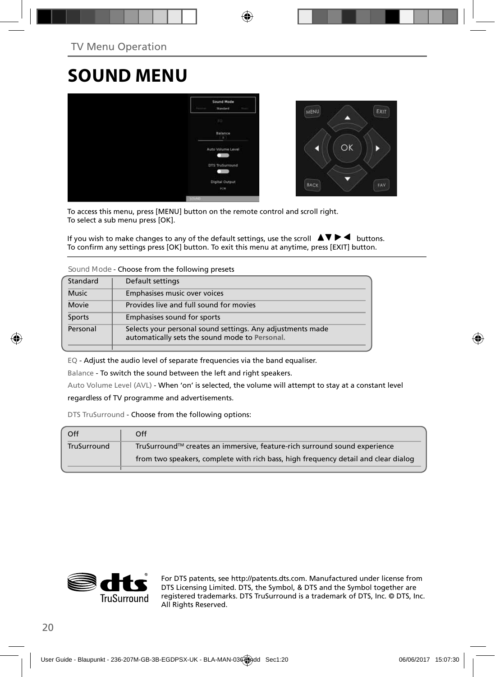## **SOUND MENU**



To access this menu, press [MENU] button on the remote control and scroll right. To select a sub menu press [OK].

If you wish to make changes to any of the default settings, use the scroll  $\Box \blacktriangledown \blacktriangleright \blacktriangleleft$  buttons. To confirm any settings press [OK] button. To exit this menu at anytime, press [EXIT] button.

**Sound Mode** - Choose from the following presets

| Standard     | Default settings                                                                                             |
|--------------|--------------------------------------------------------------------------------------------------------------|
| <b>Music</b> | Emphasises music over voices                                                                                 |
| Movie        | Provides live and full sound for movies                                                                      |
| Sports       | Emphasises sound for sports                                                                                  |
| Personal     | Selects your personal sound settings. Any adjustments made<br>automatically sets the sound mode to Personal. |

EQ - Adjust the audio level of separate frequencies via the band equaliser.

Balance - To switch the sound between the left and right speakers.

Auto Volume Level (AVL) - When 'on' is selected, the volume will attempt to stay at a constant level regardless of TV programme and advertisements.

DTS TruSurround - Choose from the following options:

| Off         | Off                                                                                |
|-------------|------------------------------------------------------------------------------------|
| TruSurround | TruSurround™ creates an immersive, feature-rich surround sound experience          |
|             | from two speakers, complete with rich bass, high frequency detail and clear dialog |
|             |                                                                                    |



For DTS patents, see http://patents.dts.com. Manufactured under license from DTS Licensing Limited. DTS, the Symbol, & DTS and the Symbol together are registered trademarks. DTS TruSurround is a trademark of DTS, Inc. © DTS, Inc. All Rights Reserved.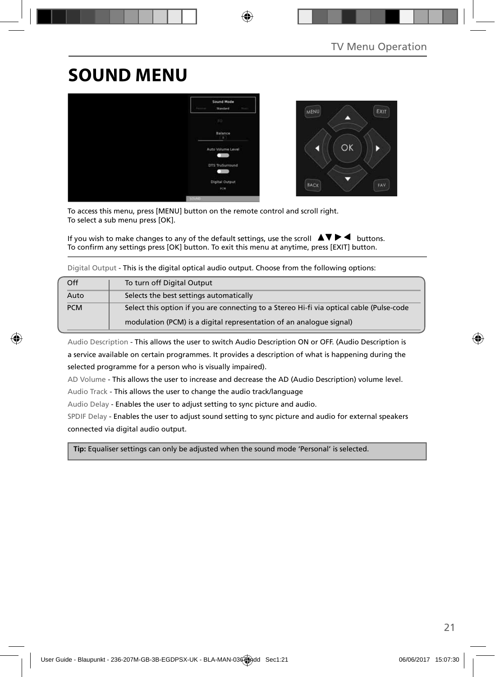# **SOUND MENU**



To access this menu, press [MENU] button on the remote control and scroll right. To select a sub menu press [OK].

If you wish to make changes to any of the default settings, use the scroll  $\Box \blacktriangledown \blacktriangleright \blacktriangleleft$  buttons. To confirm any settings press [OK] button. To exit this menu at anytime, press [EXIT] button.

Digital Output - This is the digital optical audio output. Choose from the following options:

| Off        | To turn off Digital Output                                                               |
|------------|------------------------------------------------------------------------------------------|
| Auto       | Selects the best settings automatically                                                  |
| <b>PCM</b> | Select this option if you are connecting to a Stereo Hi-fi via optical cable (Pulse-code |
|            | modulation (PCM) is a digital representation of an analogue signal)                      |

Audio Description - This allows the user to switch Audio Description ON or OFF. (Audio Description is a service available on certain programmes. It provides a description of what is happening during the selected programme for a person who is visually impaired).

AD Volume - This allows the user to increase and decrease the AD (Audio Description) volume level.

Audio Track - This allows the user to change the audio track/language

Audio Delay - Enables the user to adjust setting to sync picture and audio.

SPDIF Delay - Enables the user to adjust sound setting to sync picture and audio for external speakers connected via digital audio output.

 **Tip:** Equaliser settings can only be adjusted when the sound mode 'Personal' is selected.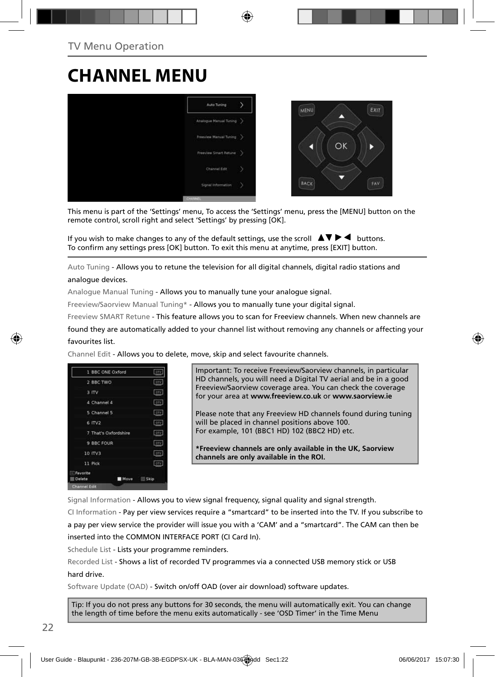## **CHANNEL MENU**



This menu is part of the 'Settings' menu, To access the 'Settings' menu, press the [MENU] button on the remote control, scroll right and select 'Settings' by pressing [OK].

If you wish to make changes to any of the default settings, use the scroll  $\Delta \nabla \blacktriangleright$   $\blacktriangleleft$  buttons. To confirm any settings press [OK] button. To exit this menu at anytime, press [EXIT] button.

Auto Tuning - Allows you to retune the television for all digital channels, digital radio stations and analogue devices.

Analogue Manual Tuning - Allows you to manually tune your analogue signal.

Freeview/Saorview Manual Tuning\* - Allows you to manually tune your digital signal.

Freeview SMART Retune - This feature allows you to scan for Freeview channels. When new channels are

found they are automatically added to your channel list without removing any channels or affecting your favourites list.

Channel Edit - Allows you to delete, move, skip and select favourite channels.

|                    | 1 BBC ONE Oxford     | <b>OTV</b> |
|--------------------|----------------------|------------|
| 2 BBC TWO          |                      | orv        |
| 3 ITV              |                      | crv        |
| 4 Channel 4        |                      | <b>DIV</b> |
| 5 Channel 5        |                      | arv        |
| 6 ITV2             |                      | orv        |
|                    | 7 That's Oxfordshire | otv        |
| 9 BBC FOUR         |                      | orv.       |
| 10 ITV3            |                      | otv        |
| 11 Pick            |                      | ory:       |
| Favorite<br>Delete | Move Skip            |            |
| Channel Edit       |                      |            |

Important: To receive Freeview/Saorview channels, in particular HD channels, you will need a Digital TV aerial and be in a good Freeview/Saorview coverage area. You can check the coverage for your area at **www.freeview.co.uk** or **www.saorview.ie**

Please note that any Freeview HD channels found during tuning will be placed in channel positions above 100. For example, 101 (BBC1 HD) 102 (BBC2 HD) etc.

**\*Freeview channels are only available in the UK, Saorview channels are only available in the ROI.**

Signal Information - Allows you to view signal frequency, signal quality and signal strength.

CI Information - Pay per view services require a "smartcard" to be inserted into the TV. If you subscribe to a pay per view service the provider will issue you with a 'CAM' and a "smartcard". The CAM can then be inserted into the COMMON INTERFACE PORT (CI Card In).

Schedule List - Lists your programme reminders.

Recorded List - Shows a list of recorded TV programmes via a connected USB memory stick or USB hard drive.

Software Update (OAD) - Switch on/off OAD (over air download) software updates.

Tip: If you do not press any buttons for 30 seconds, the menu will automatically exit. You can change the length of time before the menu exits automatically - see 'OSD Timer' in the Time Menu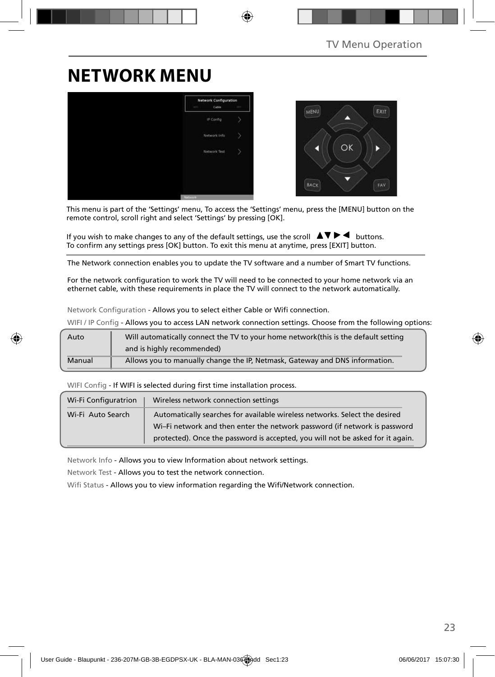## **NETWORK MENU**



This menu is part of the 'Settings' menu, To access the 'Settings' menu, press the [MENU] button on the remote control, scroll right and select 'Settings' by pressing [OK].

If you wish to make changes to any of the default settings, use the scroll  $\Box \blacktriangledown \blacktriangleright \blacktriangleleft$  buttons. To confirm any settings press [OK] button. To exit this menu at anytime, press [EXIT] button.

The Network connection enables you to update the TV software and a number of Smart TV functions.

For the network configuration to work the TV will need to be connected to your home network via an ethernet cable, with these requirements in place the TV will connect to the network automatically.

Network Configuration - Allows you to select either Cable or Wifi connection.

WIFI / IP Config - Allows you to access LAN network connection settings. Choose from the following options:

| Auto   | Will automatically connect the TV to your home network(this is the default setting |
|--------|------------------------------------------------------------------------------------|
|        | and is highly recommended)                                                         |
| Manual | Allows you to manually change the IP, Netmask, Gateway and DNS information.        |

WIFI Config - If WIFI is selected during first time installation process.

| Wi-Fi Configuratrion | Wireless network connection settings                                                                                                                    |
|----------------------|---------------------------------------------------------------------------------------------------------------------------------------------------------|
| Wi-Fi Auto Search    | Automatically searches for available wireless networks. Select the desired<br>Wi-Fi network and then enter the network password (if network is password |
|                      | protected). Once the password is accepted, you will not be asked for it again.                                                                          |

Network Info - Allows you to view Information about network settings.

Network Test - Allows you to test the network connection.

Wifi Status - Allows you to view information regarding the Wifi/Network connection.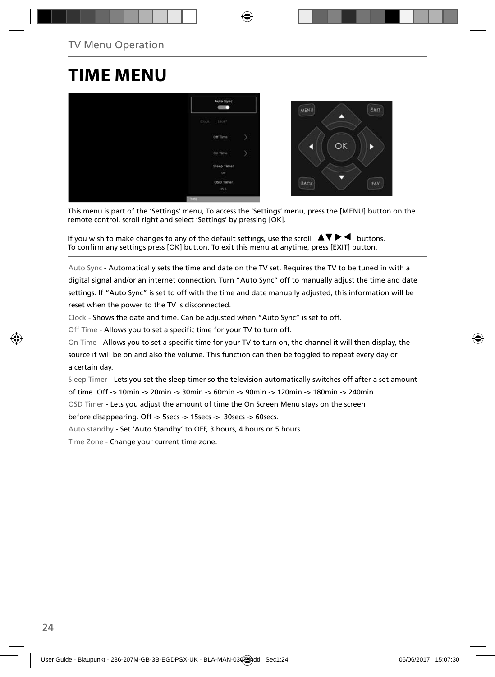## **TIME MENU**



This menu is part of the 'Settings' menu, To access the 'Settings' menu, press the [MENU] button on the remote control, scroll right and select 'Settings' by pressing [OK].

If you wish to make changes to any of the default settings, use the scroll  $\blacktriangle \blacktriangledown \blacktriangleright \blacktriangleleft$  buttons. To confirm any settings press [OK] button. To exit this menu at anytime, press [EXIT] button.

Auto Sync - Automatically sets the time and date on the TV set. Requires the TV to be tuned in with a digital signal and/or an internet connection. Turn "Auto Sync" off to manually adjust the time and date settings. If "Auto Sync" is set to off with the time and date manually adjusted, this information will be reset when the power to the TV is disconnected.

Clock - Shows the date and time. Can be adjusted when "Auto Sync" is set to off.

Off Time - Allows you to set a specific time for your TV to turn off.

On Time - Allows you to set a specific time for your TV to turn on, the channel it will then display, the source it will be on and also the volume. This function can then be toggled to repeat every day or a certain day.

Sleep Timer - Lets you set the sleep timer so the television automatically switches off after a set amount of time. Off -> 10min -> 20min -> 30min -> 60min -> 90min -> 120min -> 180min -> 240min.

OSD Timer - Lets you adjust the amount of time the On Screen Menu stays on the screen

before disappearing. Off -> 5secs -> 15secs -> 30secs -> 60secs.

Auto standby - Set 'Auto Standby' to OFF, 3 hours, 4 hours or 5 hours.

Time Zone - Change your current time zone.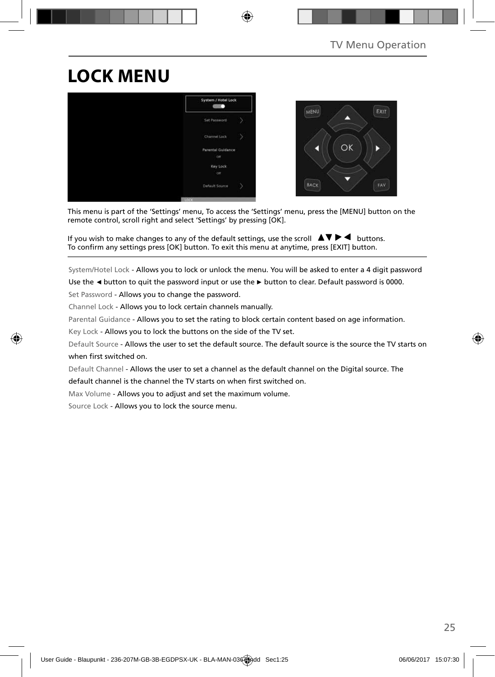# **LOCK MENU**



This menu is part of the 'Settings' menu, To access the 'Settings' menu, press the [MENU] button on the remote control, scroll right and select 'Settings' by pressing [OK].

If you wish to make changes to any of the default settings, use the scroll  $\Box \blacktriangledown \blacktriangleright \blacktriangleleft$  buttons. To confirm any settings press [OK] button. To exit this menu at anytime, press [EXIT] button.

System/Hotel Lock - Allows you to lock or unlock the menu. You will be asked to enter a 4 digit password

Use the **◄** button to quit the password input or use the **►** button to clear. Default password is 0000.

Set Password - Allows you to change the password.

Channel Lock - Allows you to lock certain channels manually.

Parental Guidance - Allows you to set the rating to block certain content based on age information.

Key Lock - Allows you to lock the buttons on the side of the TV set.

Default Source - Allows the user to set the default source. The default source is the source the TV starts on when first switched on.

Default Channel - Allows the user to set a channel as the default channel on the Digital source. The

default channel is the channel the TV starts on when first switched on.

Max Volume - Allows you to adjust and set the maximum volume.

Source Lock - Allows you to lock the source menu.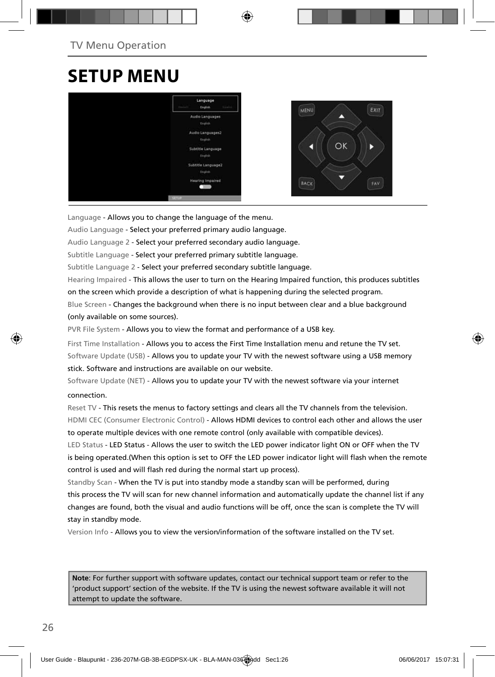## **SETUP MENU**



Language - Allows you to change the language of the menu.

Audio Language - Select your preferred primary audio language.

Audio Language 2 - Select your preferred secondary audio language.

Subtitle Language - Select your preferred primary subtitle language.

Subtitle Language 2 - Select your preferred secondary subtitle language.

Hearing Impaired - This allows the user to turn on the Hearing Impaired function, this produces subtitles on the screen which provide a description of what is happening during the selected program.

Blue Screen - Changes the background when there is no input between clear and a blue background (only available on some sources).

PVR File System - Allows you to view the format and performance of a USB key.

First Time Installation - Allows you to access the First Time Installation menu and retune the TV set. Software Update (USB) - Allows you to update your TV with the newest software using a USB memory stick. Software and instructions are available on our website.

Software Update (NET) - Allows you to update your TV with the newest software via your internet connection.

Reset TV - This resets the menus to factory settings and clears all the TV channels from the television. HDMI CEC (Consumer Electronic Control) - Allows HDMI devices to control each other and allows the user to operate multiple devices with one remote control (only available with compatible devices).

LED Status - LED Status - Allows the user to switch the LED power indicator light ON or OFF when the TV is being operated.(When this option is set to OFF the LED power indicator light will flash when the remote control is used and will flash red during the normal start up process).

Standby Scan - When the TV is put into standby mode a standby scan will be performed, during this process the TV will scan for new channel information and automatically update the channel list if any changes are found, both the visual and audio functions will be off, once the scan is complete the TV will stay in standby mode.

Version Info - Allows you to view the version/information of the software installed on the TV set.

**Note**: For further support with software updates, contact our technical support team or refer to the 'product support' section of the website. If the TV is using the newest software available it will not attempt to update the software.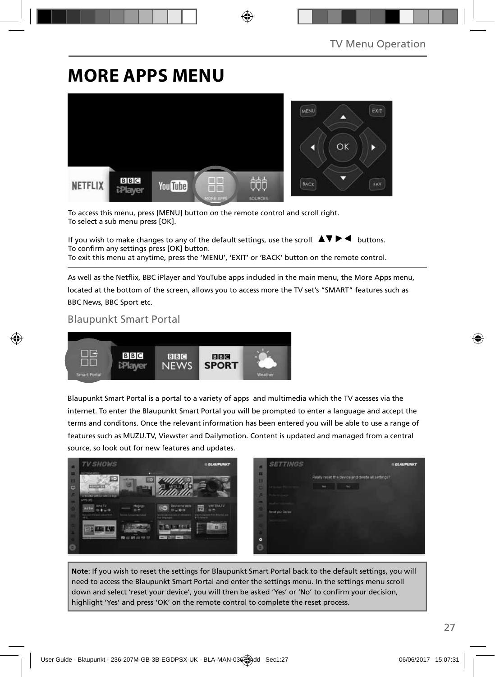## **MORE APPS MENU**



To access this menu, press [MENU] button on the remote control and scroll right. To select a sub menu press [OK].

If you wish to make changes to any of the default settings, use the scroll  $\Box \blacktriangleright \blacktriangleleft$  buttons. To confirm any settings press [OK] button. To exit this menu at anytime, press the 'MENU', 'EXIT' or 'BACK' button on the remote control.

As well as the Netflix, BBC iPlayer and YouTube apps included in the main menu, the More Apps menu, located at the bottom of the screen, allows you to access more the TV set's "SMART" features such as BBC News, BBC Sport etc.

### Blaupunkt Smart Portal



Blaupunkt Smart Portal is a portal to a variety of apps and multimedia which the TV acesses via the internet. To enter the Blaupunkt Smart Portal you will be prompted to enter a language and accept the terms and conditons. Once the relevant information has been entered you will be able to use a range of features such as MUZU.TV, Viewster and Dailymotion. Content is updated and managed from a central source, so look out for new features and updates.



**Note**: If you wish to reset the settings for Blaupunkt Smart Portal back to the default settings, you will need to access the Blaupunkt Smart Portal and enter the settings menu. In the settings menu scroll down and select 'reset your device', you will then be asked 'Yes' or 'No' to confirm your decision, highlight 'Yes' and press 'OK' on the remote control to complete the reset process.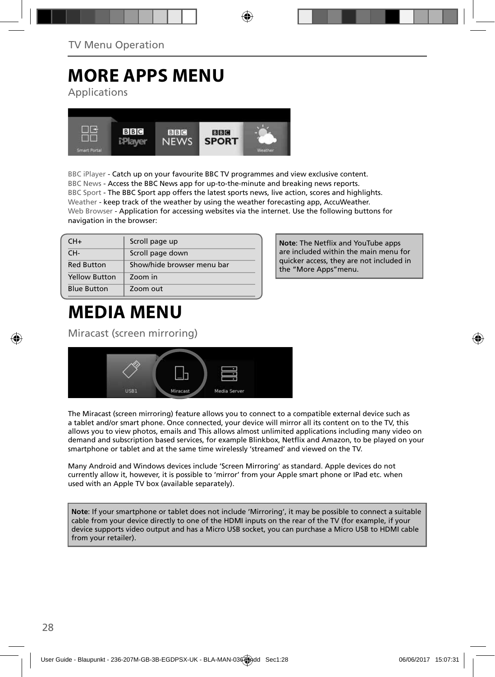# **MORE APPS MENU**

Applications



BBC iPlayer - Catch up on your favourite BBC TV programmes and view exclusive content. BBC News - Access the BBC News app for up-to-the-minute and breaking news reports. BBC Sport - The BBC Sport app offers the latest sports news, live action, scores and highlights. Weather - keep track of the weather by using the weather forecasting app, AccuWeather. Web Browser - Application for accessing websites via the internet. Use the following buttons for navigation in the browser:

| $CH+$                | Scroll page up             |
|----------------------|----------------------------|
| CH-                  | Scroll page down           |
| <b>Red Button</b>    | Show/hide browser menu bar |
| <b>Yellow Button</b> | Zoom in                    |
| <b>Blue Button</b>   | Zoom out                   |

# **MEDIA MENU**

Miracast (screen mirroring)



The Miracast (screen mirroring) feature allows you to connect to a compatible external device such as a tablet and/or smart phone. Once connected, your device will mirror all its content on to the TV, this allows you to view photos, emails and This allows almost unlimited applications including many video on demand and subscription based services, for example Blinkbox, Netflix and Amazon, to be played on your smartphone or tablet and at the same time wirelessly 'streamed' and viewed on the TV.

Many Android and Windows devices include 'Screen Mirroring' as standard. Apple devices do not currently allow it, however, it is possible to 'mirror' from your Apple smart phone or IPad etc. when used with an Apple TV box (available separately).

**Note**: If your smartphone or tablet does not include 'Mirroring', it may be possible to connect a suitable cable from your device directly to one of the HDMI inputs on the rear of the TV (for example, if your device supports video output and has a Micro USB socket, you can purchase a Micro USB to HDMI cable from your retailer).

**Note: The Netflix and YouTube apps** are included within the main menu for quicker access, they are not included in the "More Apps"menu.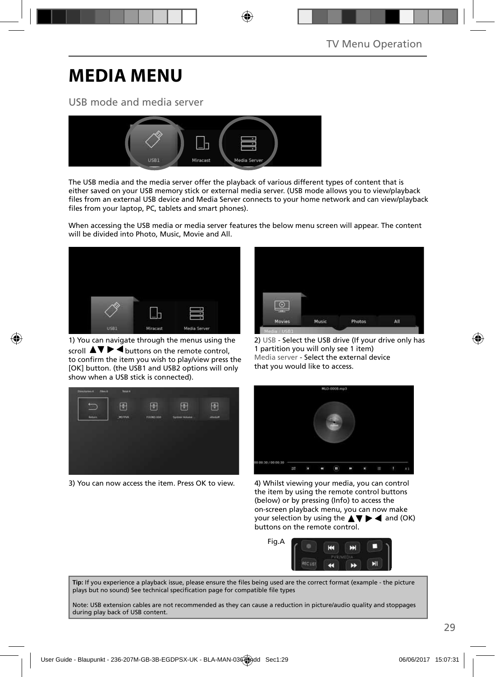# **MEDIA MENU**

### USB mode and media server



The USB media and the media server offer the playback of various different types of content that is either saved on your USB memory stick or external media server. (USB mode allows you to view/playback files from an external USB device and Media Server connects to your home network and can view/playback files from your laptop, PC, tablets and smart phones).

When accessing the USB media or media server features the below menu screen will appear. The content will be divided into Photo, Music, Movie and All.



1) You can navigate through the menus using the scroll  $\Delta \nabla \triangleright$   $\blacktriangleleft$  buttons on the remote control. to confirm the item you wish to play/view press the [OK] button. (the USB1 and USB2 options will only show when a USB stick is connected).



2) USB - Select the USB drive (If your drive only has 1 partition you will only see 1 item) Media server - Select the external device that you would like to access.



3) You can now access the item. Press OK to view. 4) Whilst viewing your media, you can control



the item by using the remote control buttons (below) or by pressing (Info) to access the on-screen playback menu, you can now make your selection by using the  $\blacktriangle \blacktriangledown \blacktriangleright \blacktriangleleft$  and (OK) buttons on the remote control.



Tip: If you experience a playback issue, please ensure the files being used are the correct format (example - the picture plays but no sound) See technical specification page for compatible file types

Note: USB extension cables are not recommended as they can cause a reduction in picture/audio quality and stoppages during play back of USB content.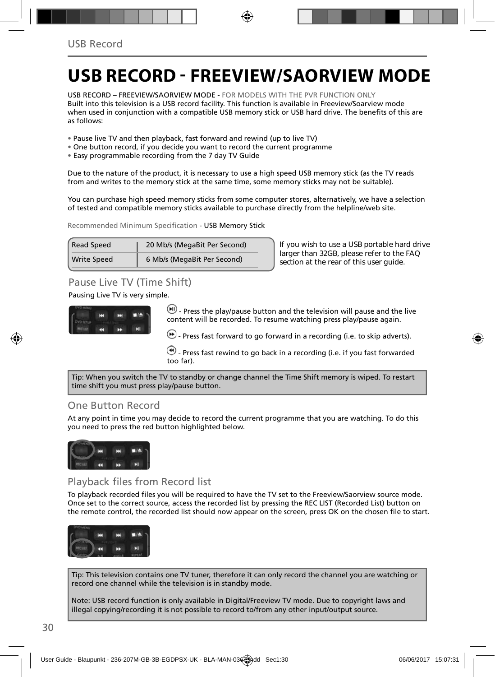## **USB RECORD - FREEVIEW/SAORVIEW MODE**

USB RECORD – FREEVIEW/SAORVIEW MODE - FOR MODELS WITH THE PVR FUNCTION ONLY Built into this television is a USB record facility. This function is available in Freeview/Soarview mode when used in conjunction with a compatible USB memory stick or USB hard drive. The benefits of this are as follows:

- Pause live TV and then playback, fast forward and rewind (up to live TV)
- One button record, if you decide you want to record the current programme
- Easy programmable recording from the 7 day TV Guide

Due to the nature of the product, it is necessary to use a high speed USB memory stick (as the TV reads from and writes to the memory stick at the same time, some memory sticks may not be suitable).

You can purchase high speed memory sticks from some computer stores, alternatively, we have a selection of tested and compatible memory sticks available to purchase directly from the helpline/web site.

Recommended Minimum Specification - USB Memory Stick

| <b>Read Speed</b>  | 20 Mb/s (MegaBit Per Second) |
|--------------------|------------------------------|
| <b>Write Speed</b> | 6 Mb/s (MegaBit Per Second)  |

**If you wish to use a USB portable hard drive larger than 32GB, please refer to the FAQ section at the rear of this user guide.**

## Pause Live TV (Time Shift)

Pausing Live TV is very simple.



 $\left(\blacksquare\right)$  - Press the play/pause button and the television will pause and the live content will be recorded. To resume watching press play/pause again.

 $\bigoplus$  - Press fast forward to go forward in a recording (i.e. to skip adverts).

 $\bigcirc$  - Press fast rewind to go back in a recording (i.e. if you fast forwarded too far).

Tip: When you switch the TV to standby or change channel the Time Shift memory is wiped. To restart time shift you must press play/pause button.

### One Button Record

At any point in time you may decide to record the current programme that you are watching. To do this you need to press the red button highlighted below.



### Playback files from Record list

To playback recorded files you will be required to have the TV set to the Freeview/Saorview source mode. Once set to the correct source, access the recorded list by pressing the REC LIST (Recorded List) button on the remote control, the recorded list should now appear on the screen, press OK on the chosen file to start.



Tip: This television contains one TV tuner, therefore it can only record the channel you are watching or record one channel while the television is in standby mode.

Note: USB record function is only available in Digital/Freeview TV mode. Due to copyright laws and illegal copying/recording it is not possible to record to/from any other input/output source.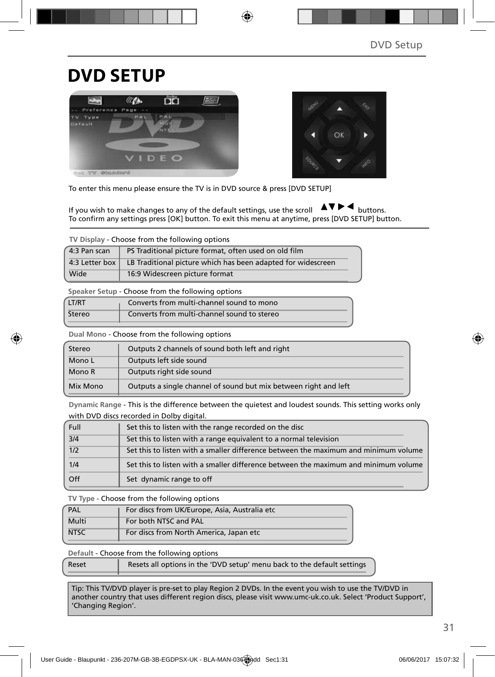## **DVD SETUP**





To enter this menu please ensure the TV is in DVD source & press [DVD SETUP]

If you wish to make changes to any of the default settings, use the scroll  $\Delta \nabla \blacktriangleright$   $\blacktriangleleft$  buttons. To confirm any settings press [OK] button. To exit this menu at anytime, press [DVD SETUP] button.

**TV Display** - Choose from the following options

| 4:3 Pan scan   | PS Traditional picture format, often used on old film        |  |
|----------------|--------------------------------------------------------------|--|
| 4:3 Letter box | LB Traditional picture which has been adapted for widescreen |  |
| Wide           | 16:9 Widescreen picture format                               |  |

**Speaker Setup** - Choose from the following options

| LT/RT  | Converts from multi-channel sound to mono   |
|--------|---------------------------------------------|
| Stereo | Converts from multi-channel sound to stereo |

**Dual Mono** - Choose from the following options

| Stereo   | Outputs 2 channels of sound both left and right                  |  |
|----------|------------------------------------------------------------------|--|
| Mono L   | Outputs left side sound                                          |  |
| Mono R   | Outputs right side sound                                         |  |
| Mix Mono | Outputs a single channel of sound but mix between right and left |  |

**Dynamic Range** - This is the difference between the quietest and loudest sounds. This setting works only with DVD discs recorded in Dolby digital.

| Full             | Set this to listen with the range recorded on the disc                              |
|------------------|-------------------------------------------------------------------------------------|
| $\overline{3/4}$ | Set this to listen with a range equivalent to a normal television                   |
| 1/2              | Set this to listen with a smaller difference between the maximum and minimum volume |
| 1/4              | Set this to listen with a smaller difference between the maximum and minimum volume |
| Off              | Set dynamic range to off                                                            |

**TV Type** - Choose from the following options

| PAL         | For discs from UK/Europe, Asia, Australia etc |  |
|-------------|-----------------------------------------------|--|
| Multi       | For both NTSC and PAL                         |  |
| <b>NTSC</b> | For discs from North America, Japan etc       |  |

**Default** - Choose from the following options

| Reset | Resets all options in the 'DVD setup' menu back to the default settings |
|-------|-------------------------------------------------------------------------|
|       |                                                                         |

Tip: This TV/DVD player is pre-set to play Region 2 DVDs. In the event you wish to use the TV/DVD in another country that uses different region discs, please visit www.umc-uk.co.uk. Select 'Product Support', 'Changing Region'.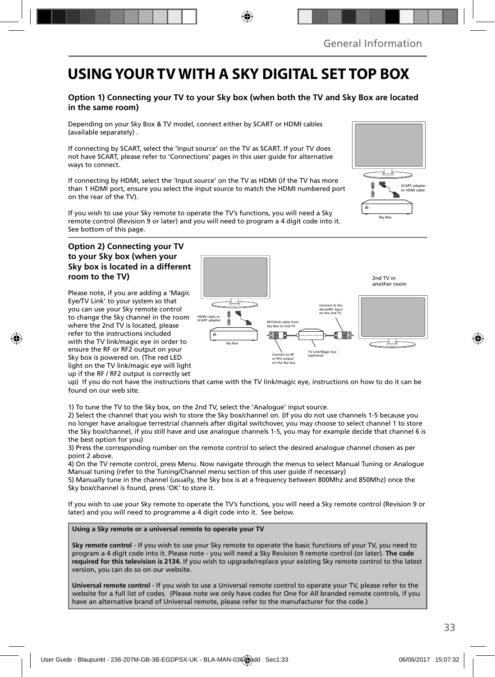## **USING YOUR TV WITH A SKY DIGITAL SET TOP BOX**

### **Option 1) Connecting your TV to your Sky box (when both the TV and Sky Box are located in the same room)**

Depending on your Sky Box & TV model, connect either by SCART or HDMI cables (available separately) .

If connecting by SCART, select the 'Input source' on the TV as SCART. If your TV does not have SCART, please refer to 'Connections' pages in this user guide for alternative ways to connect.

If connecting by HDMI, select the 'Input source' on the TV as HDMI (if the TV has more than 1 HDMI port, ensure you select the input source to match the HDMI numbered port on the rear of the TV).

If you wish to use your Sky remote to operate the TV's functions, you will need a Sky remote control (Revision 9 or later) and you will need to program a 4 digit code into it. See bottom of this page.

### **Option 2) Connecting your TV to your Sky box (when your Sky box is located in a different room to the TV)**

Please note, if you are adding a 'Magic Eye/TV Link' to your system so that you can use your Sky remote control to change the Sky channel in the room where the 2nd TV is located, please refer to the instructions included with the TV link/magic eye in order to ensure the RF or RF2 output on your Sky box is powered on. (The red LED light on the TV link/magic eye will light up if the RF / RF2 output is correctly set



up) If you do not have the instructions that came with the TV link/magic eye, instructions on how to do it can be found on our web site.

1) To tune the TV to the Sky box, on the 2nd TV, select the 'Analogue' input source.

2) Select the channel that you wish to store the Sky box/channel on. (If you do not use channels 1-5 because you no longer have analogue terrestrial channels after digital switchover, you may choose to select channel 1 to store the Sky box/channel, if you still have and use analogue channels 1-5, you may for example decide that channel 6 is the best option for you)

3) Press the corresponding number on the remote control to select the desired analogue channel chosen as per point 2 above.

4) On the TV remote control, press Menu. Now navigate through the menus to select Manual Tuning or Analogue Manual tuning (refer to the Tuning/Channel menu section of this user guide if necessary)

5) Manually tune in the channel (usually, the Sky box is at a frequency between 800Mhz and 850Mhz) once the Sky box/channel is found, press 'OK' to store it.

If you wish to use your Sky remote to operate the TV's functions, you will need a Sky remote control (Revision 9 or later) and you will need to programme a 4 digit code into it. See below.

**Using a Sky remote or a universal remote to operate your TV** 

**Sky remote control** - If you wish to use your Sky remote to operate the basic functions of your TV, you need to program a 4 digit code into it. Please note - you will need a Sky Revision 9 remote control (or later). **The code required for this television is 2134.** If you wish to upgrade/replace your existing Sky remote control to the latest version, you can do so on our website.

**Universal remote control** - If you wish to use a Universal remote control to operate your TV, please refer to the website for a full list of codes. (Please note we only have codes for One for All branded remote controls, if you have an alternative brand of Universal remote, please refer to the manufacturer for the code.)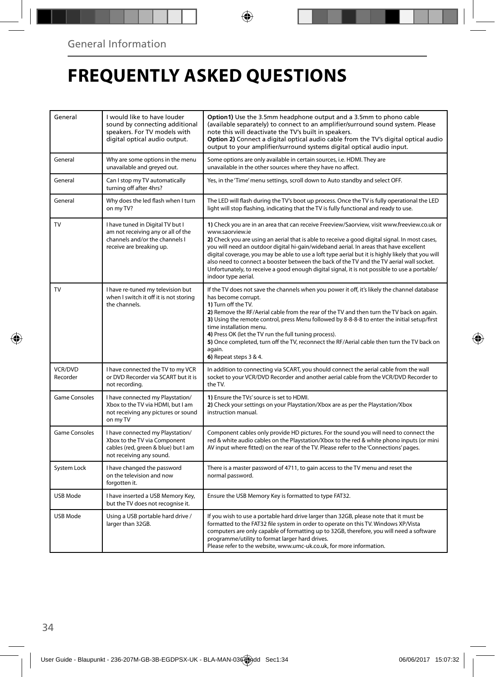# **FREQUENTLY ASKED QUESTIONS**

| General                    | I would like to have louder<br>sound by connecting additional<br>speakers. For TV models with<br>digital optical audio output.       | Option1) Use the 3.5mm headphone output and a 3.5mm to phono cable<br>(available separately) to connect to an amplifier/surround sound system. Please<br>note this will deactivate the TV's built in speakers.<br>Option 2) Connect a digital optical audio cable from the TV's digital optical audio<br>output to your amplifier/surround systems digital optical audio input.                                                                                                                                                                                                                                                     |
|----------------------------|--------------------------------------------------------------------------------------------------------------------------------------|-------------------------------------------------------------------------------------------------------------------------------------------------------------------------------------------------------------------------------------------------------------------------------------------------------------------------------------------------------------------------------------------------------------------------------------------------------------------------------------------------------------------------------------------------------------------------------------------------------------------------------------|
| General                    | Why are some options in the menu<br>unavailable and greyed out.                                                                      | Some options are only available in certain sources, i.e. HDMI. They are<br>unavailable in the other sources where they have no affect.                                                                                                                                                                                                                                                                                                                                                                                                                                                                                              |
| General                    | Can I stop my TV automatically<br>turning off after 4hrs?                                                                            | Yes, in the 'Time' menu settings, scroll down to Auto standby and select OFF.                                                                                                                                                                                                                                                                                                                                                                                                                                                                                                                                                       |
| General                    | Why does the led flash when I turn<br>on my TV?                                                                                      | The LED will flash during the TV's boot up process. Once the TV is fully operational the LED<br>light will stop flashing, indicating that the TV is fully functional and ready to use.                                                                                                                                                                                                                                                                                                                                                                                                                                              |
| TV                         | I have tuned in Digital TV but I<br>am not receiving any or all of the<br>channels and/or the channels I<br>receive are breaking up. | 1) Check you are in an area that can receive Freeview/Saorview, visit www.freeview.co.uk or<br>www.saorview.ie<br>2) Check you are using an aerial that is able to receive a good digital signal. In most cases,<br>you will need an outdoor digital hi-gain/wideband aerial. In areas that have excellent<br>digital coverage, you may be able to use a loft type aerial but it is highly likely that you will<br>also need to connect a booster between the back of the TV and the TV aerial wall socket.<br>Unfortunately, to receive a good enough digital signal, it is not possible to use a portable/<br>indoor type aerial. |
| TV                         | I have re-tuned my television but<br>when I switch it off it is not storing<br>the channels.                                         | If the TV does not save the channels when you power it off, it's likely the channel database<br>has become corrupt.<br>1) Turn off the TV.<br>2) Remove the RF/Aerial cable from the rear of the TV and then turn the TV back on again.<br>3) Using the remote control, press Menu followed by 8-8-8-8 to enter the initial setup/first<br>time installation menu.<br>4) Press OK (let the TV run the full tuning process).<br>5) Once completed, turn off the TV, reconnect the RF/Aerial cable then turn the TV back on<br>again.<br>6) Repeat steps 3 & 4.                                                                       |
| <b>VCR/DVD</b><br>Recorder | I have connected the TV to my VCR<br>or DVD Recorder via SCART but it is<br>not recording.                                           | In addition to connecting via SCART, you should connect the aerial cable from the wall<br>socket to your VCR/DVD Recorder and another aerial cable from the VCR/DVD Recorder to<br>the TV.                                                                                                                                                                                                                                                                                                                                                                                                                                          |
| <b>Game Consoles</b>       | I have connected my Playstation/<br>Xbox to the TV via HDMI, but I am<br>not receiving any pictures or sound<br>on my TV             | 1) Ensure the TVs' source is set to HDMI.<br>2) Check your settings on your Playstation/Xbox are as per the Playstation/Xbox<br>instruction manual.                                                                                                                                                                                                                                                                                                                                                                                                                                                                                 |
| <b>Game Consoles</b>       | I have connected my Playstation/<br>Xbox to the TV via Component<br>cables (red, green & blue) but I am<br>not receiving any sound.  | Component cables only provide HD pictures. For the sound you will need to connect the<br>red & white audio cables on the Playstation/Xbox to the red & white phono inputs (or mini<br>AV input where fitted) on the rear of the TV. Please refer to the 'Connections' pages.                                                                                                                                                                                                                                                                                                                                                        |
| System Lock                | I have changed the password<br>on the television and now<br>forgotten it.                                                            | There is a master password of 4711, to gain access to the TV menu and reset the<br>normal password.                                                                                                                                                                                                                                                                                                                                                                                                                                                                                                                                 |
| USB Mode                   | I have inserted a USB Memory Key,<br>but the TV does not recognise it.                                                               | Ensure the USB Memory Key is formatted to type FAT32.                                                                                                                                                                                                                                                                                                                                                                                                                                                                                                                                                                               |
| USB Mode                   | Using a USB portable hard drive /<br>larger than 32GB.                                                                               | If you wish to use a portable hard drive larger than 32GB, please note that it must be<br>formatted to the FAT32 file system in order to operate on this TV. Windows XP/Vista<br>computers are only capable of formatting up to 32GB, therefore, you will need a software<br>programme/utility to format larger hard drives.<br>Please refer to the website, www.umc-uk.co.uk, for more information.                                                                                                                                                                                                                                |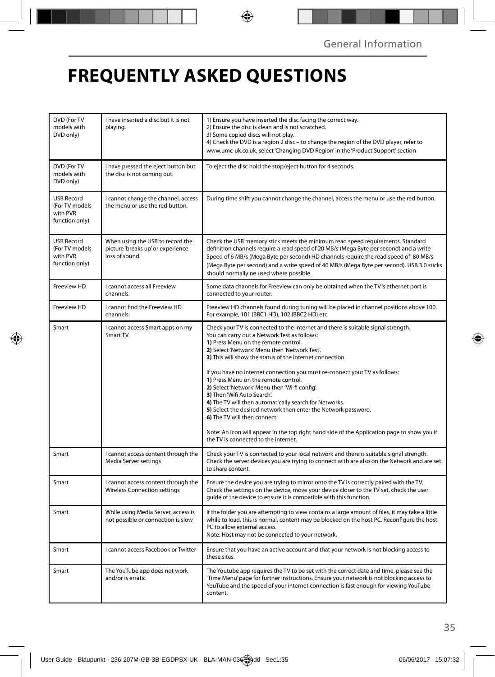# **FREQUENTLY ASKED QUESTIONS**

| DVD (For TV<br>models with<br>DVD only)                           | I have inserted a disc but it is not<br>playing.                                        | 1) Ensure you have inserted the disc facing the correct way.<br>2) Ensure the disc is clean and is not scratched.<br>3) Some copied discs will not play.<br>4) Check the DVD is a region 2 disc – to change the region of the DVD player, refer to<br>www.umc-uk.co.uk, select 'Changing DVD Region' in the 'Product Support' section                                                                                                                                                                                                                                                                                                                                                                                                                                                           |
|-------------------------------------------------------------------|-----------------------------------------------------------------------------------------|-------------------------------------------------------------------------------------------------------------------------------------------------------------------------------------------------------------------------------------------------------------------------------------------------------------------------------------------------------------------------------------------------------------------------------------------------------------------------------------------------------------------------------------------------------------------------------------------------------------------------------------------------------------------------------------------------------------------------------------------------------------------------------------------------|
| DVD (For TV<br>models with<br>DVD only)                           | I have pressed the eject button but<br>the disc is not coming out.                      | To eject the disc hold the stop/eject button for 4 seconds.                                                                                                                                                                                                                                                                                                                                                                                                                                                                                                                                                                                                                                                                                                                                     |
| <b>USB Record</b><br>(For TV models<br>with PVR<br>function only) | I cannot change the channel, access<br>the menu or use the red button.                  | During time shift you cannot change the channel, access the menu or use the red button.                                                                                                                                                                                                                                                                                                                                                                                                                                                                                                                                                                                                                                                                                                         |
| <b>USB Record</b><br>(For TV models<br>with PVR<br>function only) | When using the USB to record the<br>picture 'breaks up' or experience<br>loss of sound. | Check the USB memory stick meets the minimum read speed requirements. Standard<br>definition channels require a read speed of 20 MB/s (Mega Byte per second) and a write<br>Speed of 6 MB/s (Mega Byte per second) HD channels require the read speed of 80 MB/s<br>(Mega Byte per second) and a write speed of 40 MB/s (Mega Byte per second). USB 3.0 sticks<br>should normally ne used where possible.                                                                                                                                                                                                                                                                                                                                                                                       |
| Freeview HD                                                       | I cannot access all Freeview<br>channels.                                               | Some data channels for Freeview can only be obtained when the TV's ethernet port is<br>connected to your router.                                                                                                                                                                                                                                                                                                                                                                                                                                                                                                                                                                                                                                                                                |
| Freeview HD                                                       | I cannot find the Freeview HD<br>channels.                                              | Freeview HD channels found during tuning will be placed in channel positions above 100.<br>For example, 101 (BBC1 HD), 102 (BBC2 HD) etc.                                                                                                                                                                                                                                                                                                                                                                                                                                                                                                                                                                                                                                                       |
| Smart                                                             | I cannot access Smart apps on my<br>Smart TV.                                           | Check your TV is connected to the internet and there is suitable signal strength.<br>You can carry out a Network Test as follows:<br>1) Press Menu on the remote control.<br>2) Select 'Network' Menu then 'Network Test'.<br>3) This will show the status of the internet connection.<br>If you have no internet connection you must re-connect your TV as follows:<br>1) Press Menu on the remote control.<br>2) Select 'Network' Menu then 'Wi-fi config'.<br>3) Then 'Wifi Auto Search'.<br>4) The TV will then automatically search for Networks.<br>5) Select the desired network then enter the Network password.<br>6) The TV will then connect.<br>Note: An icon will appear in the top right hand side of the Application page to show you if<br>the TV is connected to the internet. |
| Smart                                                             | I cannot access content through the<br>Media Server settings                            | Check your TV is connected to your local network and there is suitable signal strength.<br>Check the server devices you are trying to connect with are also on the Network and are set<br>to share content.                                                                                                                                                                                                                                                                                                                                                                                                                                                                                                                                                                                     |
| Smart                                                             | I cannot access content through the<br><b>Wireless Connection settings</b>              | Ensure the device you are trying to mirror onto the TV is correctly paired with the TV.<br>Check the settings on the device, move your device closer to the TV set, check the user<br>guide of the device to ensure it is compatible with this function.                                                                                                                                                                                                                                                                                                                                                                                                                                                                                                                                        |
| Smart                                                             | While using Media Server, access is<br>not possible or connection is slow               | If the folder you are attempting to view contains a large amount of files, it may take a little<br>while to load, this is normal, content may be blocked on the host PC. Reconfigure the host<br>PC to allow external access.<br>Note: Host may not be connected to your network.                                                                                                                                                                                                                                                                                                                                                                                                                                                                                                               |
| Smart                                                             | I cannot access Facebook or Twitter                                                     | Ensure that you have an active account and that your network is not blocking access to<br>these sites.                                                                                                                                                                                                                                                                                                                                                                                                                                                                                                                                                                                                                                                                                          |
| Smart                                                             | The YouTube app does not work<br>and/or is erratic                                      | The Youtube app requires the TV to be set with the correct date and time, please see the<br>'Time Menu' page for further instructions. Ensure your network is not blocking access to<br>YouTube and the speed of your internet connection is fast enough for viewing YouTube<br>content.                                                                                                                                                                                                                                                                                                                                                                                                                                                                                                        |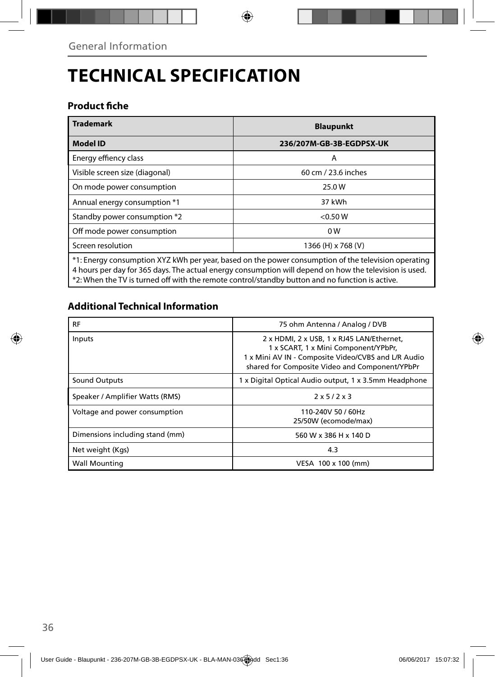# **TECHNICAL SPECIFICATION**

### **Product fiche**

| <b>Trademark</b>                                                                                                                                                                                              | <b>Blaupunkt</b>         |  |
|---------------------------------------------------------------------------------------------------------------------------------------------------------------------------------------------------------------|--------------------------|--|
| <b>Model ID</b>                                                                                                                                                                                               | 236/207M-GB-3B-EGDPSX-UK |  |
| Energy effiency class                                                                                                                                                                                         | A                        |  |
| Visible screen size (diagonal)                                                                                                                                                                                | 60 cm / 23.6 inches      |  |
| On mode power consumption                                                                                                                                                                                     | 25.0W                    |  |
| Annual energy consumption *1                                                                                                                                                                                  | 37 kWh                   |  |
| Standby power consumption *2                                                                                                                                                                                  | < 0.50 W                 |  |
| Off mode power consumption                                                                                                                                                                                    | 0 <sub>W</sub>           |  |
| Screen resolution                                                                                                                                                                                             | 1366 (H) x 768 (V)       |  |
| *1: Energy consumption XYZ kWh per year, based on the power consumption of the television operating<br>4 hours per day for 365 days. The actual energy consumption will depend on how the television is used. |                          |  |

\*2: When the TV is turned off with the remote control/standby button and no function is active.

## **Additional Technical Information**

| <b>RF</b>                       | 75 ohm Antenna / Analog / DVB                                                                                                                                                              |
|---------------------------------|--------------------------------------------------------------------------------------------------------------------------------------------------------------------------------------------|
| Inputs                          | 2 x HDMI, 2 x USB, 1 x RJ45 LAN/Ethernet,<br>1 x SCART, 1 x Mini Component/YPbPr,<br>1 x Mini AV IN - Composite Video/CVBS and L/R Audio<br>shared for Composite Video and Component/YPbPr |
| Sound Outputs                   | 1 x Digital Optical Audio output, 1 x 3.5mm Headphone                                                                                                                                      |
| Speaker / Amplifier Watts (RMS) | 2x5/2x3                                                                                                                                                                                    |
| Voltage and power consumption   | 110-240V 50 / 60Hz<br>25/50W (ecomode/max)                                                                                                                                                 |
| Dimensions including stand (mm) | 560 W x 386 H x 140 D                                                                                                                                                                      |
| Net weight (Kgs)                | 4.3                                                                                                                                                                                        |
| <b>Wall Mounting</b>            | VESA 100 x 100 (mm)                                                                                                                                                                        |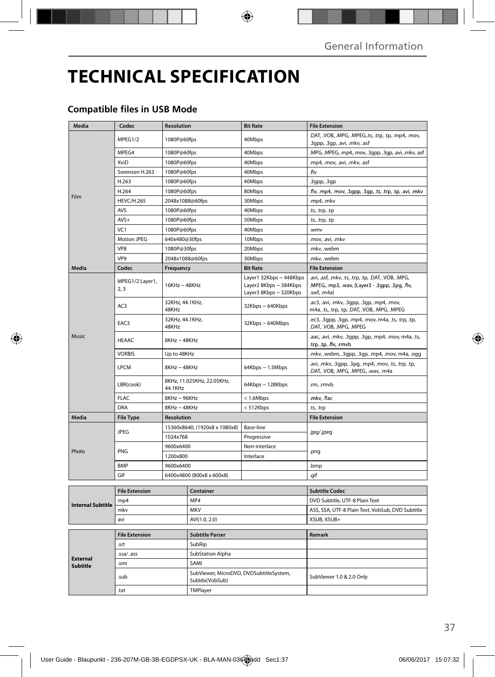# **TECHNICAL SPECIFICATION**

## **Compatible files in USB Mode**

| Media                              | Codec                              | Resolution                            |                                                           | <b>Bit Rate</b>                                                             | <b>File Extension</b>                                                                                                 |
|------------------------------------|------------------------------------|---------------------------------------|-----------------------------------------------------------|-----------------------------------------------------------------------------|-----------------------------------------------------------------------------------------------------------------------|
| Film                               | MPEG1/2                            | 1080P@60fps                           |                                                           | 40Mbps                                                                      | .DAT, .VOB, .MPG, .MPEG,.ts, .trp, .tp, .mp4, .mov,<br>.3gpp, .3gp, .avi, .mkv, .asf                                  |
|                                    | MPEG4                              | 1080P@60fps                           |                                                           | 40Mbps                                                                      | .MPG, .MPEG, .mp4, .mov, .3gpp, .3gp, .avi, .mkv, .asf                                                                |
|                                    | XviD                               | 1080P@60fps                           |                                                           | 40Mbps                                                                      | .mp4, .mov, .avi, .mkv, .asf                                                                                          |
|                                    | Sorenson H.263                     | 1080P@60fps                           |                                                           | 40Mbps                                                                      | .flv                                                                                                                  |
|                                    | H.263                              | 1080P@60fps                           |                                                           | 40Mbps                                                                      | .3gpp, .3gp                                                                                                           |
|                                    | H.264                              | 1080P@60fps                           |                                                           | 80Mbps                                                                      | .flv, .mp4, .mov, .3gpp, .3gp, .ts, .trp, .tp, .avi, .mkv                                                             |
|                                    | <b>HEVC/H.265</b>                  | 2048x1088@60fps                       |                                                           | 30Mbps                                                                      | .mp4, .mkv                                                                                                            |
|                                    | <b>AVS</b>                         | 1080P@60fps                           |                                                           | 40Mbps                                                                      | .ts, .trp, .tp                                                                                                        |
|                                    | $AVS+$                             | 1080P@60fps                           |                                                           | 50Mbps                                                                      | .ts, .trp, .tp                                                                                                        |
|                                    | VC1                                | 1080P@60fps                           |                                                           | 40Mbps                                                                      | .wmv                                                                                                                  |
|                                    | <b>Motion JPEG</b>                 | 640x480@30fps                         |                                                           | 10Mbps                                                                      | .mov, .avi, .mkv                                                                                                      |
|                                    | VP8                                | 1080P@30fps                           |                                                           | 20Mbps                                                                      | .mkv, .webm                                                                                                           |
|                                    | VP <sub>9</sub>                    | 2048x1088@60fps                       |                                                           | 30Mbps                                                                      | .mkv. .webm                                                                                                           |
| Media                              | Codec                              | Frequency                             |                                                           | <b>Bit Rate</b>                                                             | <b>File Extension</b>                                                                                                 |
| Music                              | MPEG1/2 Layer1,<br>2, 3            | $16KHz \sim 48KHz$                    |                                                           | Layer1 32Kbps ~ 448Kbps<br>Layer2 8Kbps ~ 384Kbps<br>Layer3 8Kbps ~ 320Kbps | .avi, .asf, .mkv, .ts, .trp, .tp, .DAT, .VOB, .MPG,<br>.MPEG, .mp3, .wav, (Layer3 - .3gpp, .3pg, .flv,<br>.swf, .m4a) |
|                                    | AC <sub>3</sub>                    | 32KHz, 44.1KHz,<br>48KHz              |                                                           | 32Kbps~640Kbps                                                              | .ac3, .avi, .mkv, .3gpp, .3gp, .mp4, .mov,<br>m4a, .ts, .trp, .tp, .DAT, .VOB, .MPG, .MPEG                            |
|                                    | EAC3                               | 32KHz, 44.1KHz,<br>48KHz              |                                                           | 32Kbps~640Mbps                                                              | .ec3, .3gpp, .3gp, .mp4, .mov, m4a, .ts, .trp, .tp,<br>.DAT, .VOB, .MPG, .MPEG                                        |
|                                    | <b>HEAAC</b>                       | $8$ KHz ~ 48KHz                       |                                                           |                                                                             | .aac, .avi, .mkv, .3gpp, .3gp, .mp4, .mov, m4a, .ts,<br>.trp, .tp, .flv, .rmvb                                        |
|                                    | <b>VORBIS</b>                      | Up to 48KHz                           |                                                           |                                                                             | .mkv, .webm, .3gpp, .3gp, .mp4, .mov, m4a, .ogg                                                                       |
|                                    | <b>LPCM</b>                        | $8KHz \sim 48KHz$                     |                                                           | $64Kbps \sim 1.5Mbps$                                                       | .avi, .mkv, .3gpp, .3pg, .mp4, .mov, .ts, .trp, .tp,<br>.DAT, .VOB, .MPG, .MPEG, .wav, .m4a                           |
|                                    | LBR(cook)                          | 8KHz, 11.025KHz, 22.05KHz,<br>44.1KHz |                                                           | 64Kbps ~ 128Kbps                                                            | .rm, .rmvb                                                                                                            |
|                                    | <b>FLAC</b>                        | 8KHz~96KHz                            |                                                           | $< 1.6$ Mbps                                                                | .mkv, .flac                                                                                                           |
|                                    | DRA                                | $8$ KHz ~ $48$ KHz                    |                                                           | < 512Kbps                                                                   | .ts, .trp                                                                                                             |
| <b>Media</b>                       | <b>File Type</b>                   | <b>Resolution</b>                     |                                                           |                                                                             | <b>File Extension</b>                                                                                                 |
| Photo                              | <b>JPEG</b>                        | 15360x8640, (1920x8 x 1080x8)         |                                                           | Base-line                                                                   | .jpg/.jpeg                                                                                                            |
|                                    |                                    | 1024x768                              |                                                           | Progressive                                                                 |                                                                                                                       |
|                                    | PNG                                | 9600x6400                             |                                                           | Non-interlace                                                               | .png                                                                                                                  |
|                                    |                                    | 1200x800                              |                                                           | Interlace                                                                   |                                                                                                                       |
|                                    | <b>BMP</b>                         | 9600x6400                             |                                                           |                                                                             | .bmp                                                                                                                  |
|                                    | GIF                                | 6400x4800 (800x8 x 600x8)             |                                                           |                                                                             | .gif                                                                                                                  |
|                                    | <b>File Extension</b><br>Container |                                       |                                                           |                                                                             | <b>Subtitle Codec</b>                                                                                                 |
| <b>Internal Subtitle</b>           | mp4                                |                                       | MP4                                                       |                                                                             | DVD Subtitle, UTF-8 Plain Text                                                                                        |
|                                    | mkv                                |                                       | <b>MKV</b>                                                |                                                                             | ASS, SSA, UTF-8 Plain Text, VobSub, DVD Subtitle                                                                      |
|                                    | avi                                |                                       | AVI(1.0, 2.0)                                             |                                                                             | XSUB, XSUB+                                                                                                           |
|                                    |                                    |                                       |                                                           |                                                                             |                                                                                                                       |
| <b>External</b><br><b>Subtitle</b> | <b>File Extension</b>              |                                       | <b>Subtitle Parser</b>                                    |                                                                             | Remark                                                                                                                |
|                                    | .srt                               |                                       | SubRip                                                    |                                                                             |                                                                                                                       |
|                                    | .ssa/ .ass                         |                                       | SubStation Alpha                                          |                                                                             |                                                                                                                       |
|                                    | .smi                               |                                       | SAMI                                                      |                                                                             |                                                                                                                       |
|                                    | .sub                               |                                       | SubViewer, MicroDVD, DVDSubtitleSystem,<br>Subldx(VobSub) |                                                                             | SubViewer 1.0 & 2.0 Only                                                                                              |
|                                    | .txt                               |                                       | TMPlayer                                                  |                                                                             |                                                                                                                       |